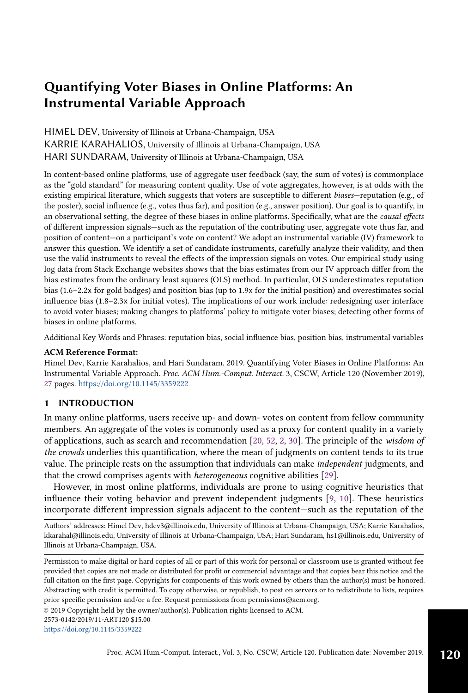HIMEL DEV, University of Illinois at Urbana-Champaign, USA KARRIE KARAHALIOS, University of Illinois at Urbana-Champaign, USA HARI SUNDARAM, University of Illinois at Urbana-Champaign, USA

In content-based online platforms, use of aggregate user feedback (say, the sum of votes) is commonplace as the "gold standard" for measuring content quality. Use of vote aggregates, however, is at odds with the existing empirical literature, which suggests that voters are susceptible to different biases—reputation (e.g., of the poster), social influence (e.g., votes thus far), and position (e.g., answer position). Our goal is to quantify, in an observational setting, the degree of these biases in online platforms. Specifically, what are the causal effects of different impression signals—such as the reputation of the contributing user, aggregate vote thus far, and position of content—on a participant's vote on content? We adopt an instrumental variable (IV) framework to answer this question. We identify a set of candidate instruments, carefully analyze their validity, and then use the valid instruments to reveal the effects of the impression signals on votes. Our empirical study using log data from Stack Exchange websites shows that the bias estimates from our IV approach differ from the bias estimates from the ordinary least squares (OLS) method. In particular, OLS underestimates reputation bias (1.6–2.2x for gold badges) and position bias (up to 1.9x for the initial position) and overestimates social influence bias (1.8–2.3x for initial votes). The implications of our work include: redesigning user interface to avoid voter biases; making changes to platforms' policy to mitigate voter biases; detecting other forms of biases in online platforms.

Additional Key Words and Phrases: reputation bias, social influence bias, position bias, instrumental variables

### ACM Reference Format:

Himel Dev, Karrie Karahalios, and Hari Sundaram. 2019. Quantifying Voter Biases in Online Platforms: An Instrumental Variable Approach. Proc. ACM Hum.-Comput. Interact. 3, CSCW, Article 120 (November 2019), [27](#page-26-0) pages. <https://doi.org/10.1145/3359222>

# 1 INTRODUCTION

In many online platforms, users receive up- and down- votes on content from fellow community members. An aggregate of the votes is commonly used as a proxy for content quality in a variety of applications, such as search and recommendation [\[20,](#page-25-0) [52,](#page-26-1) [2,](#page-24-0) [30\]](#page-25-1). The principle of the wisdom of the crowds underlies this quantification, where the mean of judgments on content tends to its true value. The principle rests on the assumption that individuals can make independent judgments, and that the crowd comprises agents with heterogeneous cognitive abilities [\[29\]](#page-25-2).

However, in most online platforms, individuals are prone to using cognitive heuristics that influence their voting behavior and prevent independent judgments [\[9,](#page-24-1) [10\]](#page-24-2). These heuristics incorporate different impression signals adjacent to the content—such as the reputation of the

Authors' addresses: Himel Dev, hdev3@illinois.edu, University of Illinois at Urbana-Champaign, USA; Karrie Karahalios, kkarahal@illinois.edu, University of Illinois at Urbana-Champaign, USA; Hari Sundaram, hs1@illinois.edu, University of Illinois at Urbana-Champaign, USA.

© 2019 Copyright held by the owner/author(s). Publication rights licensed to ACM.

2573-0142/2019/11-ART120 \$15.00

```
https://doi.org/10.1145/3359222
```
Permission to make digital or hard copies of all or part of this work for personal or classroom use is granted without fee provided that copies are not made or distributed for profit or commercial advantage and that copies bear this notice and the full citation on the first page. Copyrights for components of this work owned by others than the author(s) must be honored. Abstracting with credit is permitted. To copy otherwise, or republish, to post on servers or to redistribute to lists, requires prior specific permission and/or a fee. Request permissions from permissions@acm.org.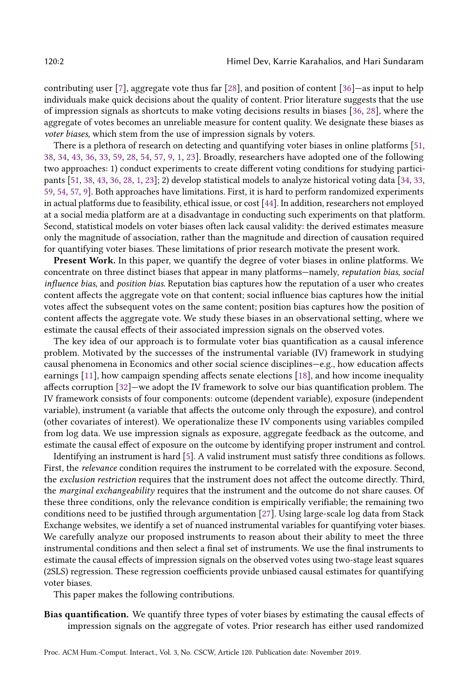contributing user [\[7\]](#page-24-3), aggregate vote thus far [\[28\]](#page-25-3), and position of content [\[36\]](#page-25-4)—as input to help individuals make quick decisions about the quality of content. Prior literature suggests that the use of impression signals as shortcuts to make voting decisions results in biases [\[36,](#page-25-4) [28\]](#page-25-3), where the aggregate of votes becomes an unreliable measure for content quality. We designate these biases as voter biases, which stem from the use of impression signals by voters.

There is a plethora of research on detecting and quantifying voter biases in online platforms [\[51,](#page-26-2) [38,](#page-25-5) [34,](#page-25-6) [43,](#page-26-3) [36,](#page-25-4) [33,](#page-25-7) [59,](#page-26-4) [28,](#page-25-3) [54,](#page-26-5) [57,](#page-26-6) [9,](#page-24-1) [1,](#page-24-4) [23\]](#page-25-8). Broadly, researchers have adopted one of the following two approaches: 1) conduct experiments to create different voting conditions for studying participants [\[51,](#page-26-2) [38,](#page-25-5) [43,](#page-26-3) [36,](#page-25-4) [28,](#page-25-3) [1,](#page-24-4) [23\]](#page-25-8); 2) develop statistical models to analyze historical voting data [\[34,](#page-25-6) [33,](#page-25-7) [59,](#page-26-4) [54,](#page-26-5) [57,](#page-26-6) [9\]](#page-24-1). Both approaches have limitations. First, it is hard to perform randomized experiments in actual platforms due to feasibility, ethical issue, or cost [\[44\]](#page-26-7). In addition, researchers not employed at a social media platform are at a disadvantage in conducting such experiments on that platform. Second, statistical models on voter biases often lack causal validity: the derived estimates measure only the magnitude of association, rather than the magnitude and direction of causation required for quantifying voter biases. These limitations of prior research motivate the present work.

Present Work. In this paper, we quantify the degree of voter biases in online platforms. We concentrate on three distinct biases that appear in many platforms—namely, reputation bias, social influence bias, and position bias. Reputation bias captures how the reputation of a user who creates content affects the aggregate vote on that content; social influence bias captures how the initial votes affect the subsequent votes on the same content; position bias captures how the position of content affects the aggregate vote. We study these biases in an observational setting, where we estimate the causal effects of their associated impression signals on the observed votes.

The key idea of our approach is to formulate voter bias quantification as a causal inference problem. Motivated by the successes of the instrumental variable (IV) framework in studying causal phenomena in Economics and other social science disciplines—e.g., how education affects earnings [\[11\]](#page-24-5), how campaign spending affects senate elections [\[18\]](#page-25-9), and how income inequality affects corruption [\[32\]](#page-25-10)—we adopt the IV framework to solve our bias quantification problem. The IV framework consists of four components: outcome (dependent variable), exposure (independent variable), instrument (a variable that affects the outcome only through the exposure), and control (other covariates of interest). We operationalize these IV components using variables compiled from log data. We use impression signals as exposure, aggregate feedback as the outcome, and estimate the causal effect of exposure on the outcome by identifying proper instrument and control.

Identifying an instrument is hard [\[5\]](#page-24-6). A valid instrument must satisfy three conditions as follows. First, the relevance condition requires the instrument to be correlated with the exposure. Second, the exclusion restriction requires that the instrument does not affect the outcome directly. Third, the marginal exchangeability requires that the instrument and the outcome do not share causes. Of these three conditions, only the relevance condition is empirically verifiable; the remaining two conditions need to be justified through argumentation [\[27\]](#page-25-11). Using large-scale log data from Stack Exchange websites, we identify a set of nuanced instrumental variables for quantifying voter biases. We carefully analyze our proposed instruments to reason about their ability to meet the three instrumental conditions and then select a final set of instruments. We use the final instruments to estimate the causal effects of impression signals on the observed votes using two-stage least squares (2SLS) regression. These regression coefficients provide unbiased causal estimates for quantifying voter biases.

This paper makes the following contributions.

Bias quantification. We quantify three types of voter biases by estimating the causal effects of impression signals on the aggregate of votes. Prior research has either used randomized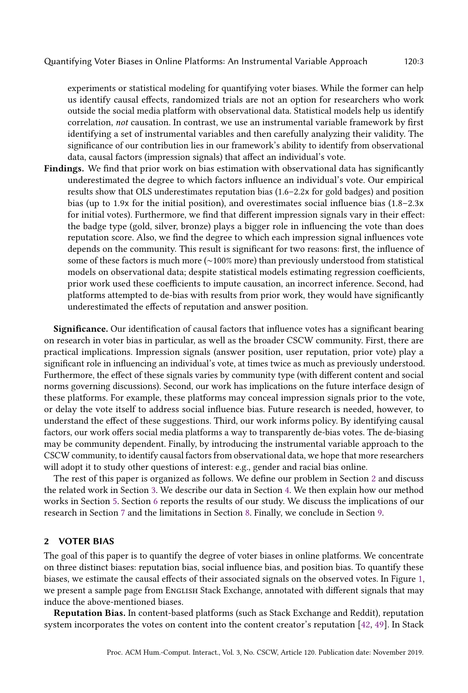experiments or statistical modeling for quantifying voter biases. While the former can help us identify causal effects, randomized trials are not an option for researchers who work outside the social media platform with observational data. Statistical models help us identify correlation, not causation. In contrast, we use an instrumental variable framework by first identifying a set of instrumental variables and then carefully analyzing their validity. The significance of our contribution lies in our framework's ability to identify from observational data, causal factors (impression signals) that affect an individual's vote.

Findings. We find that prior work on bias estimation with observational data has significantly underestimated the degree to which factors influence an individual's vote. Our empirical results show that OLS underestimates reputation bias (1.6–2.2x for gold badges) and position bias (up to 1.9x for the initial position), and overestimates social influence bias (1.8–2.3x for initial votes). Furthermore, we find that different impression signals vary in their effect: the badge type (gold, silver, bronze) plays a bigger role in influencing the vote than does reputation score. Also, we find the degree to which each impression signal influences vote depends on the community. This result is significant for two reasons: first, the influence of some of these factors is much more (∼100% more) than previously understood from statistical models on observational data; despite statistical models estimating regression coefficients, prior work used these coefficients to impute causation, an incorrect inference. Second, had platforms attempted to de-bias with results from prior work, they would have significantly underestimated the effects of reputation and answer position.

Significance. Our identification of causal factors that influence votes has a significant bearing on research in voter bias in particular, as well as the broader CSCW community. First, there are practical implications. Impression signals (answer position, user reputation, prior vote) play a significant role in influencing an individual's vote, at times twice as much as previously understood. Furthermore, the effect of these signals varies by community type (with different content and social norms governing discussions). Second, our work has implications on the future interface design of these platforms. For example, these platforms may conceal impression signals prior to the vote, or delay the vote itself to address social influence bias. Future research is needed, however, to understand the effect of these suggestions. Third, our work informs policy. By identifying causal factors, our work offers social media platforms a way to transparently de-bias votes. The de-biasing may be community dependent. Finally, by introducing the instrumental variable approach to the CSCW community, to identify causal factors from observational data, we hope that more researchers will adopt it to study other questions of interest: e.g., gender and racial bias online.

The rest of this paper is organized as follows. We define our problem in Section [2](#page-2-0) and discuss the related work in Section [3.](#page-4-0) We describe our data in Section [4.](#page-6-0) We then explain how our method works in Section [5.](#page-8-0) Section [6](#page-15-0) reports the results of our study. We discuss the implications of our research in Section [7](#page-21-0) and the limitations in Section [8.](#page-23-0) Finally, we conclude in Section [9.](#page-24-7)

# <span id="page-2-0"></span>2 VOTER BIAS

The goal of this paper is to quantify the degree of voter biases in online platforms. We concentrate on three distinct biases: reputation bias, social influence bias, and position bias. To quantify these biases, we estimate the causal effects of their associated signals on the observed votes. In Figure [1,](#page-3-0) we present a sample page from ENGLISH Stack Exchange, annotated with different signals that may induce the above-mentioned biases.

Reputation Bias. In content-based platforms (such as Stack Exchange and Reddit), reputation system incorporates the votes on content into the content creator's reputation [\[42,](#page-26-8) [49\]](#page-26-9). In Stack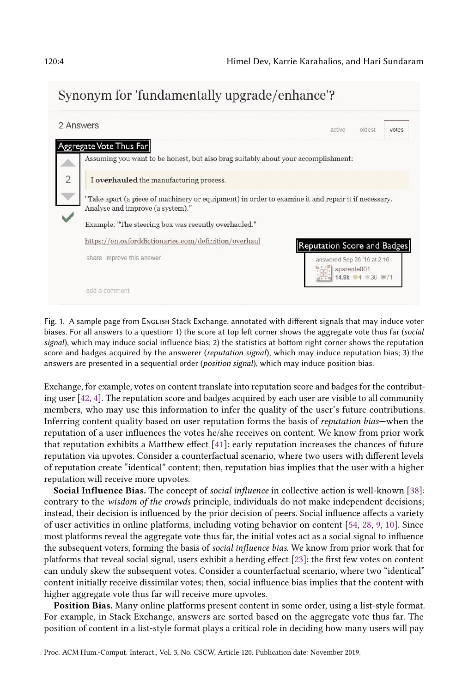<span id="page-3-0"></span>

| 2 Answers                                                                                                                             | oldest<br>active.<br>votes                                    |
|---------------------------------------------------------------------------------------------------------------------------------------|---------------------------------------------------------------|
| Aggregate Vote Thus Far<br>Assuming you want to be honest, but also brag suitably about your accomplishment:                          |                                                               |
| I overhauled the manufacturing process.                                                                                               |                                                               |
| Take apart (a piece of machinery or equipment) in order to examine it and repair it if necessary.<br>Analyse and improve (a system)." |                                                               |
| Example: "The steering box was recently overhauled."                                                                                  |                                                               |
| https://en.oxforddictionaries.com/definition/overhaul                                                                                 | Reputation Score and Badges                                   |
| share improve this answer                                                                                                             | answered Sep 26 '16 at 2:16<br>aparente001<br>14.9k 34 36 071 |
| add a comment                                                                                                                         |                                                               |

Fig. 1. A sample page from English Stack Exchange, annotated with different signals that may induce voter biases. For all answers to a question: 1) the score at top left corner shows the aggregate vote thus far (social signal), which may induce social influence bias; 2) the statistics at bottom right corner shows the reputation score and badges acquired by the answerer (*reputation signal*), which may induce reputation bias; 3) the answers are presented in a sequential order (position signal), which may induce position bias.

Exchange, for example, votes on content translate into reputation score and badges for the contributing user [\[42,](#page-26-8) [4\]](#page-24-8). The reputation score and badges acquired by each user are visible to all community members, who may use this information to infer the quality of the user's future contributions. Inferring content quality based on user reputation forms the basis of reputation bias—when the reputation of a user influences the votes he/she receives on content. We know from prior work that reputation exhibits a Matthew effect [\[41\]](#page-26-10): early reputation increases the chances of future reputation via upvotes. Consider a counterfactual scenario, where two users with different levels of reputation create "identical" content; then, reputation bias implies that the user with a higher reputation will receive more upvotes.

Social Influence Bias. The concept of social influence in collective action is well-known [\[38\]](#page-25-5): contrary to the wisdom of the crowds principle, individuals do not make independent decisions; instead, their decision is influenced by the prior decision of peers. Social influence affects a variety of user activities in online platforms, including voting behavior on content [\[54,](#page-26-5) [28,](#page-25-3) [9,](#page-24-1) [10\]](#page-24-2). Since most platforms reveal the aggregate vote thus far, the initial votes act as a social signal to influence the subsequent voters, forming the basis of social influence bias. We know from prior work that for platforms that reveal social signal, users exhibit a herding effect [\[23\]](#page-25-8): the first few votes on content can unduly skew the subsequent votes. Consider a counterfactual scenario, where two "identical" content initially receive dissimilar votes; then, social influence bias implies that the content with higher aggregate vote thus far will receive more upvotes.

Position Bias. Many online platforms present content in some order, using a list-style format. For example, in Stack Exchange, answers are sorted based on the aggregate vote thus far. The position of content in a list-style format plays a critical role in deciding how many users will pay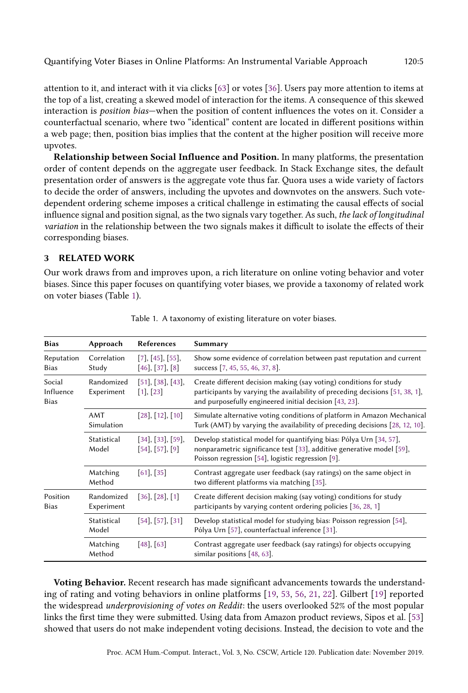attention to it, and interact with it via clicks [\[63\]](#page-26-11) or votes [\[36\]](#page-25-4). Users pay more attention to items at the top of a list, creating a skewed model of interaction for the items. A consequence of this skewed interaction is position bias—when the position of content influences the votes on it. Consider a counterfactual scenario, where two "identical" content are located in different positions within a web page; then, position bias implies that the content at the higher position will receive more upvotes.

Relationship between Social Influence and Position. In many platforms, the presentation order of content depends on the aggregate user feedback. In Stack Exchange sites, the default presentation order of answers is the aggregate vote thus far. Quora uses a wide variety of factors to decide the order of answers, including the upvotes and downvotes on the answers. Such votedependent ordering scheme imposes a critical challenge in estimating the causal effects of social influence signal and position signal, as the two signals vary together. As such, the lack of longitudinal variation in the relationship between the two signals makes it difficult to isolate the effects of their corresponding biases.

### <span id="page-4-0"></span>3 RELATED WORK

Our work draws from and improves upon, a rich literature on online voting behavior and voter biases. Since this paper focuses on quantifying voter biases, we provide a taxonomy of related work on voter biases (Table [1\)](#page-4-1).

<span id="page-4-1"></span>

| <b>Bias</b>                        | Approach                 | <b>References</b>                           | Summary                                                                                                                                                                                                      |
|------------------------------------|--------------------------|---------------------------------------------|--------------------------------------------------------------------------------------------------------------------------------------------------------------------------------------------------------------|
| Reputation<br><b>Bias</b>          | Correlation<br>Study     | [7], [45], [55],<br>$[46]$ , $[37]$ , $[8]$ | Show some evidence of correlation between past reputation and current<br>success [7, 45, 55, 46, 37, 8].                                                                                                     |
| Social<br>Influence<br><b>Bias</b> | Randomized<br>Experiment | [51], [38], [43],<br>[1], [23]              | Create different decision making (say voting) conditions for study<br>participants by varying the availability of preceding decisions [51, 38, 1],<br>and purposefully engineered initial decision [43, 23]. |
|                                    | AMT<br>Simulation        | $[28]$ , $[12]$ , $[10]$                    | Simulate alternative voting conditions of platform in Amazon Mechanical<br>Turk (AMT) by varying the availability of preceding decisions [28, 12, 10].                                                       |
|                                    | Statistical<br>Model     | [34], [33], [59],<br>[54], [57], [9]        | Develop statistical model for quantifying bias: Pólya Urn [34, 57],<br>nonparametric significance test [33], additive generative model [59],<br>Poisson regression [54], logistic regression [9].            |
|                                    | Matching<br>Method       | $[61]$ , [35]                               | Contrast aggregate user feedback (say ratings) on the same object in<br>two different platforms via matching [35].                                                                                           |
| Position<br><b>Bias</b>            | Randomized<br>Experiment | $[36]$ , $[28]$ , $[1]$                     | Create different decision making (say voting) conditions for study<br>participants by varying content ordering policies [36, 28, 1]                                                                          |
|                                    | Statistical<br>Model     | [54], [57], [31]                            | Develop statistical model for studying bias: Poisson regression [54],<br>Pólya Urn [57], counterfactual inference [31].                                                                                      |
|                                    | Matching<br>Method       | $[48]$ , [63]                               | Contrast aggregate user feedback (say ratings) for objects occupying<br>similar positions [48, 63].                                                                                                          |

Table 1. A taxonomy of existing literature on voter biases.

Voting Behavior. Recent research has made significant advancements towards the understanding of rating and voting behaviors in online platforms [\[19,](#page-25-15) [53,](#page-26-17) [56,](#page-26-18) [21,](#page-25-16) [22\]](#page-25-17). Gilbert [\[19\]](#page-25-15) reported the widespread underprovisioning of votes on Reddit: the users overlooked 52% of the most popular links the first time they were submitted. Using data from Amazon product reviews, Sipos et al. [\[53\]](#page-26-17) showed that users do not make independent voting decisions. Instead, the decision to vote and the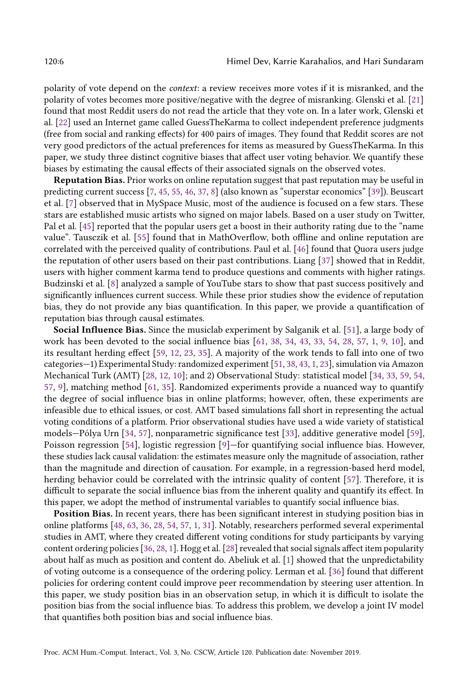polarity of vote depend on the context: a review receives more votes if it is misranked, and the polarity of votes becomes more positive/negative with the degree of misranking. Glenski et al. [\[21\]](#page-25-16) found that most Reddit users do not read the article that they vote on. In a later work, Glenski et al. [\[22\]](#page-25-17) used an Internet game called GuessTheKarma to collect independent preference judgments (free from social and ranking effects) for 400 pairs of images. They found that Reddit scores are not very good predictors of the actual preferences for items as measured by GuessTheKarma. In this paper, we study three distinct cognitive biases that affect user voting behavior. We quantify these biases by estimating the causal effects of their associated signals on the observed votes.

Reputation Bias. Prior works on online reputation suggest that past reputation may be useful in predicting current success [\[7,](#page-24-3) [45,](#page-26-12) [55,](#page-26-13) [46,](#page-26-14) [37,](#page-25-12) [8\]](#page-24-9) (also known as "superstar economics" [\[39\]](#page-25-18)). Beuscart et al. [\[7\]](#page-24-3) observed that in MySpace Music, most of the audience is focused on a few stars. These stars are established music artists who signed on major labels. Based on a user study on Twitter, Pal et al. [\[45\]](#page-26-12) reported that the popular users get a boost in their authority rating due to the "name value". Tausczik et al. [\[55\]](#page-26-13) found that in MathOverflow, both offline and online reputation are correlated with the perceived quality of contributions. Paul et al. [\[46\]](#page-26-14) found that Quora users judge the reputation of other users based on their past contributions. Liang [\[37\]](#page-25-12) showed that in Reddit, users with higher comment karma tend to produce questions and comments with higher ratings. Budzinski et al. [\[8\]](#page-24-9) analyzed a sample of YouTube stars to show that past success positively and significantly influences current success. While these prior studies show the evidence of reputation bias, they do not provide any bias quantification. In this paper, we provide a quantification of reputation bias through causal estimates.

Social Influence Bias. Since the musiclab experiment by Salganik et al. [\[51\]](#page-26-2), a large body of work has been devoted to the social influence bias [\[61,](#page-26-15) [38,](#page-25-5) [34,](#page-25-6) [43,](#page-26-3) [33,](#page-25-7) [54,](#page-26-5) [28,](#page-25-3) [57,](#page-26-6) [1,](#page-24-4) [9,](#page-24-1) [10\]](#page-24-2), and its resultant herding effect [\[59,](#page-26-4) [12,](#page-24-10) [23,](#page-25-8) [35\]](#page-25-13). A majority of the work tends to fall into one of two categories—1) Experimental Study: randomized experiment [\[51,](#page-26-2) [38,](#page-25-5) [43,](#page-26-3) [1,](#page-24-4) [23\]](#page-25-8), simulation via Amazon Mechanical Turk (AMT) [\[28,](#page-25-3) [12,](#page-24-10) [10\]](#page-24-2); and 2) Observational Study: statistical model [\[34,](#page-25-6) [33,](#page-25-7) [59,](#page-26-4) [54,](#page-26-5) [57,](#page-26-6) [9\]](#page-24-1), matching method [\[61,](#page-26-15) [35\]](#page-25-13). Randomized experiments provide a nuanced way to quantify the degree of social influence bias in online platforms; however, often, these experiments are infeasible due to ethical issues, or cost. AMT based simulations fall short in representing the actual voting conditions of a platform. Prior observational studies have used a wide variety of statistical models—Pólya Urn [\[34,](#page-25-6) [57\]](#page-26-6), nonparametric significance test [\[33\]](#page-25-7), additive generative model [\[59\]](#page-26-4), Poisson regression [\[54\]](#page-26-5), logistic regression [\[9\]](#page-24-1)—for quantifying social influence bias. However, these studies lack causal validation: the estimates measure only the magnitude of association, rather than the magnitude and direction of causation. For example, in a regression-based herd model, herding behavior could be correlated with the intrinsic quality of content [\[57\]](#page-26-6). Therefore, it is difficult to separate the social influence bias from the inherent quality and quantify its effect. In this paper, we adopt the method of instrumental variables to quantify social influence bias.

Position Bias. In recent years, there has been significant interest in studying position bias in online platforms [\[48,](#page-26-16) [63,](#page-26-11) [36,](#page-25-4) [28,](#page-25-3) [54,](#page-26-5) [57,](#page-26-6) [1,](#page-24-4) [31\]](#page-25-14). Notably, researchers performed several experimental studies in AMT, where they created different voting conditions for study participants by varying content ordering policies [\[36,](#page-25-4) [28,](#page-25-3) [1\]](#page-24-4). Hogg et al. [\[28\]](#page-25-3) revealed that social signals affect item popularity about half as much as position and content do. Abeliuk et al. [\[1\]](#page-24-4) showed that the unpredictability of voting outcome is a consequence of the ordering policy. Lerman et al. [\[36\]](#page-25-4) found that different policies for ordering content could improve peer recommendation by steering user attention. In this paper, we study position bias in an observation setup, in which it is difficult to isolate the position bias from the social influence bias. To address this problem, we develop a joint IV model that quantifies both position bias and social influence bias.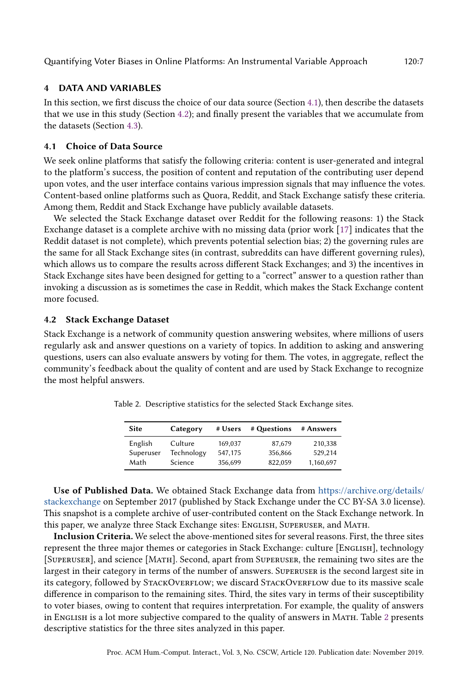### <span id="page-6-0"></span>4 DATA AND VARIABLES

In this section, we first discuss the choice of our data source (Section [4.1\)](#page-6-1), then describe the datasets that we use in this study (Section [4.2\)](#page-6-2); and finally present the variables that we accumulate from the datasets (Section [4.3\)](#page-7-0).

# <span id="page-6-1"></span>4.1 Choice of Data Source

We seek online platforms that satisfy the following criteria: content is user-generated and integral to the platform's success, the position of content and reputation of the contributing user depend upon votes, and the user interface contains various impression signals that may influence the votes. Content-based online platforms such as Quora, Reddit, and Stack Exchange satisfy these criteria. Among them, Reddit and Stack Exchange have publicly available datasets.

We selected the Stack Exchange dataset over Reddit for the following reasons: 1) the Stack Exchange dataset is a complete archive with no missing data (prior work [\[17\]](#page-25-19) indicates that the Reddit dataset is not complete), which prevents potential selection bias; 2) the governing rules are the same for all Stack Exchange sites (in contrast, subreddits can have different governing rules), which allows us to compare the results across different Stack Exchanges; and 3) the incentives in Stack Exchange sites have been designed for getting to a "correct" answer to a question rather than invoking a discussion as is sometimes the case in Reddit, which makes the Stack Exchange content more focused.

# <span id="page-6-2"></span>4.2 Stack Exchange Dataset

<span id="page-6-3"></span>Stack Exchange is a network of community question answering websites, where millions of users regularly ask and answer questions on a variety of topics. In addition to asking and answering questions, users can also evaluate answers by voting for them. The votes, in aggregate, reflect the community's feedback about the quality of content and are used by Stack Exchange to recognize the most helpful answers.

| Site      | Category   | # Users | # Questions | # Answers |
|-----------|------------|---------|-------------|-----------|
| English   | Culture    | 169,037 | 87,679      | 210,338   |
| Superuser | Technology | 547.175 | 356,866     | 529.214   |
| Math      | Science    | 356,699 | 822.059     | 1,160,697 |

Table 2. Descriptive statistics for the selected Stack Exchange sites.

Use of Published Data. We obtained Stack Exchange data from [https://archive.org/details/](https://archive.org/details/stackexchange) [stackexchange](https://archive.org/details/stackexchange) on September 2017 (published by Stack Exchange under the CC BY-SA 3.0 license). This snapshot is a complete archive of user-contributed content on the Stack Exchange network. In this paper, we analyze three Stack Exchange sites: ENGLISH, SUPERUSER, and MATH.

Inclusion Criteria. We select the above-mentioned sites for several reasons. First, the three sites represent the three major themes or categories in Stack Exchange: culture [ENGLISH], technology [Superuser], and science [Math]. Second, apart from Superuser, the remaining two sites are the largest in their category in terms of the number of answers. Superuser is the second largest site in its category, followed by STACKOVERFLOW; we discard STACKOVERFLOW due to its massive scale difference in comparison to the remaining sites. Third, the sites vary in terms of their susceptibility to voter biases, owing to content that requires interpretation. For example, the quality of answers in English is a lot more subjective compared to the quality of answers in Math. Table [2](#page-6-3) presents descriptive statistics for the three sites analyzed in this paper.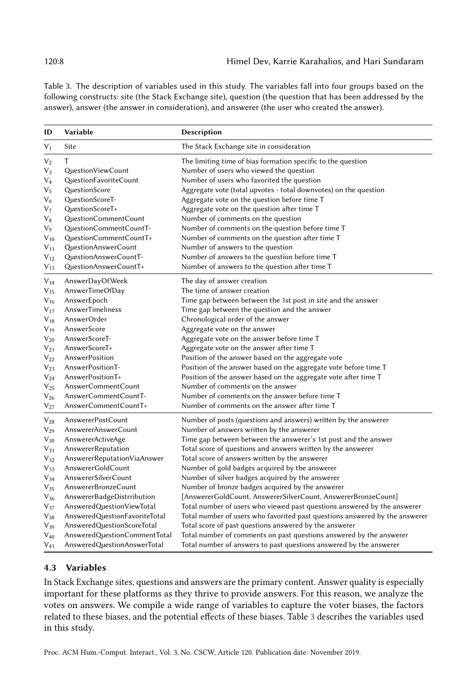<span id="page-7-1"></span>Table 3. The description of variables used in this study. The variables fall into four groups based on the following constructs: site (the Stack Exchange site), question (the question that has been addressed by the answer), answer (the answer in consideration), and answerer (the user who created the answer).

| ID        | Variable                      | Description                                                                 |
|-----------|-------------------------------|-----------------------------------------------------------------------------|
| $V_{1}$   | Site                          | The Stack Exchange site in consideration                                    |
| $V_2$     | T                             | The limiting time of bias formation specific to the question                |
| $V_3$     | QuestionViewCount             | Number of users who viewed the question                                     |
| $V_4$     | QuestionFavoriteCount         | Number of users who favorited the question                                  |
| $V_5$     | QuestionScore                 | Aggregate vote (total upvotes - total downvotes) on the question            |
| $V_6$     | QuestionScoreT-               | Aggregate vote on the question before time T                                |
| V7        | QuestionScoreT+               | Aggregate vote on the question after time T                                 |
| $\rm V_8$ | QuestionCommentCount          | Number of comments on the question                                          |
| V9        | QuestionCommentCountT-        | Number of comments on the question before time T                            |
| $V_{10}$  | QuestionCommentCountT+        | Number of comments on the question after time T                             |
| $V_{11}$  | QuestionAnswerCount           | Number of answers to the question                                           |
| $V_{12}$  | QuestionAnswerCountT-         | Number of answers to the question before time T                             |
| $V_{13}$  | QuestionAnswerCountT+         | Number of answers to the question after time T                              |
| $V_{14}$  | AnswerDayOfWeek               | The day of answer creation                                                  |
| $V_{15}$  | AnswerTimeOfDay               | The time of answer creation                                                 |
| $V_{16}$  | AnswerEpoch                   | Time gap between between the 1st post in site and the answer                |
| $V_{17}$  | AnswerTimeliness              | Time gap between the question and the answer                                |
| $V_{18}$  | AnswerOrder                   | Chronological order of the answer                                           |
| $V_{19}$  | AnswerScore                   | Aggregate vote on the answer                                                |
| $V_{20}$  | AnswerScoreT-                 | Aggregate vote on the answer before time T                                  |
| $V_{21}$  | AnswerScoreT+                 | Aggregate vote on the answer after time T                                   |
| $V_{22}$  | AnswerPosition                | Position of the answer based on the aggregate vote                          |
| $V_{23}$  | AnswerPositionT-              | Position of the answer based on the aggregate vote before time T            |
| $V_{24}$  | AnswerPositionT+              | Position of the answer based on the aggregate vote after time T             |
| $V_{25}$  | AnswerCommentCount            | Number of comments on the answer                                            |
| $V_{26}$  | AnswerCommentCountT-          | Number of comments on the answer before time T                              |
| $V_{27}$  | AnswerCommentCountT+          | Number of comments on the answer after time T                               |
| $V_{28}$  | AnswererPostCount             | Number of posts (questions and answers) written by the answerer             |
| $V_{29}$  | AnswererAnswerCount           | Number of answers written by the answerer                                   |
| $V_{30}$  | AnswererActiveAge             | Time gap between between the answerer's 1st post and the answer             |
| $V_{31}$  | AnswererReputation            | Total score of questions and answers written by the answerer                |
| $V_{32}$  | AnswererReputationViaAnswer   | Total score of answers written by the answerer                              |
| $V_{33}$  | AnswererGoldCount             | Number of gold badges acquired by the answerer                              |
| $V_{34}$  | AnswererSilverCount           | Number of silver badges acquired by the answerer                            |
| $V_{35}$  | AnswererBronzeCount           | Number of bronze badges acquired by the answerer                            |
| $V_{36}$  | AnswererBadgeDistrribution    | [AnswererGoldCount, AnswererSilverCount, AnswererBronzeCount]               |
| $V_{37}$  | AnsweredQuestionViewTotal     | Total number of users who viewed past questions answered by the answerer    |
| $V_{38}$  | AnsweredQuestionFavoriteTotal | Total number of users who favorited past questions answered by the answerer |
| $V_{39}$  | AnsweredQuestionScoreTotal    | Total score of past questions answered by the answerer                      |
| $V_{40}$  | AnsweredQuestionCommentTotal  | Total number of comments on past questions answered by the answerer         |
| $V_{41}$  | AnsweredQuestionAnswerTotal   | Total number of answers to past questions answered by the answerer          |

# <span id="page-7-0"></span>4.3 Variables

In Stack Exchange sites, questions and answers are the primary content. Answer quality is especially important for these platforms as they thrive to provide answers. For this reason, we analyze the votes on answers. We compile a wide range of variables to capture the voter biases, the factors related to these biases, and the potential effects of these biases. Table [3](#page-7-1) describes the variables used in this study.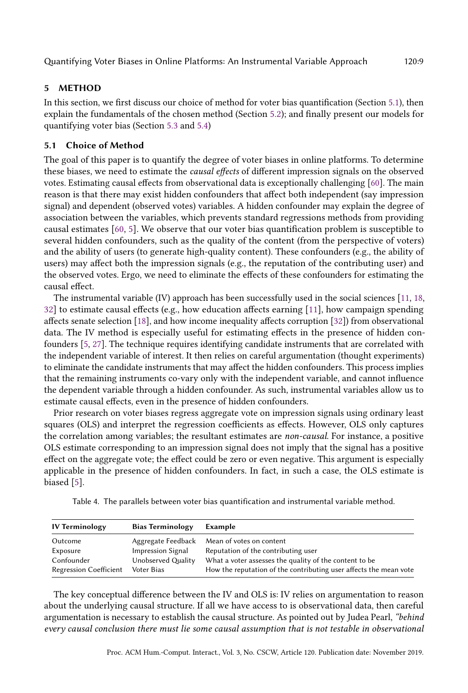# <span id="page-8-0"></span>5 METHOD

In this section, we first discuss our choice of method for voter bias quantification (Section [5.1\)](#page-8-1), then explain the fundamentals of the chosen method (Section [5.2\)](#page-9-0); and finally present our models for quantifying voter bias (Section [5.3](#page-10-0) and [5.4\)](#page-12-0)

# <span id="page-8-1"></span>5.1 Choice of Method

The goal of this paper is to quantify the degree of voter biases in online platforms. To determine these biases, we need to estimate the causal effects of different impression signals on the observed votes. Estimating causal effects from observational data is exceptionally challenging [\[60\]](#page-26-19). The main reason is that there may exist hidden confounders that affect both independent (say impression signal) and dependent (observed votes) variables. A hidden confounder may explain the degree of association between the variables, which prevents standard regressions methods from providing causal estimates [\[60,](#page-26-19) [5\]](#page-24-6). We observe that our voter bias quantification problem is susceptible to several hidden confounders, such as the quality of the content (from the perspective of voters) and the ability of users (to generate high-quality content). These confounders (e.g., the ability of users) may affect both the impression signals (e.g., the reputation of the contributing user) and the observed votes. Ergo, we need to eliminate the effects of these confounders for estimating the causal effect.

The instrumental variable (IV) approach has been successfully used in the social sciences [\[11,](#page-24-5) [18,](#page-25-9) [32\]](#page-25-10) to estimate causal effects (e.g., how education affects earning [\[11\]](#page-24-5), how campaign spending affects senate selection [\[18\]](#page-25-9), and how income inequality affects corruption [\[32\]](#page-25-10)) from observational data. The IV method is especially useful for estimating effects in the presence of hidden confounders [\[5,](#page-24-6) [27\]](#page-25-11). The technique requires identifying candidate instruments that are correlated with the independent variable of interest. It then relies on careful argumentation (thought experiments) to eliminate the candidate instruments that may affect the hidden confounders. This process implies that the remaining instruments co-vary only with the independent variable, and cannot influence the dependent variable through a hidden confounder. As such, instrumental variables allow us to estimate causal effects, even in the presence of hidden confounders.

Prior research on voter biases regress aggregate vote on impression signals using ordinary least squares (OLS) and interpret the regression coefficients as effects. However, OLS only captures the correlation among variables; the resultant estimates are non-causal. For instance, a positive OLS estimate corresponding to an impression signal does not imply that the signal has a positive effect on the aggregate vote; the effect could be zero or even negative. This argument is especially applicable in the presence of hidden confounders. In fact, in such a case, the OLS estimate is biased [\[5\]](#page-24-6).

|  | Table 4. The parallels between voter bias quantification and instrumental variable method. |  |  |  |
|--|--------------------------------------------------------------------------------------------|--|--|--|
|--|--------------------------------------------------------------------------------------------|--|--|--|

<span id="page-8-2"></span>

| <b>IV Terminology</b>         | <b>Bias Terminology</b> | Example                                                           |
|-------------------------------|-------------------------|-------------------------------------------------------------------|
| Outcome                       |                         | Aggregate Feedback Mean of votes on content                       |
| Exposure                      | Impression Signal       | Reputation of the contributing user                               |
| Confounder                    | Unobserved Quality      | What a voter assesses the quality of the content to be            |
| <b>Regression Coefficient</b> | Voter Bias              | How the reputation of the contributing user affects the mean vote |

The key conceptual difference between the IV and OLS is: IV relies on argumentation to reason about the underlying causal structure. If all we have access to is observational data, then careful argumentation is necessary to establish the causal structure. As pointed out by Judea Pearl, "behind every causal conclusion there must lie some causal assumption that is not testable in observational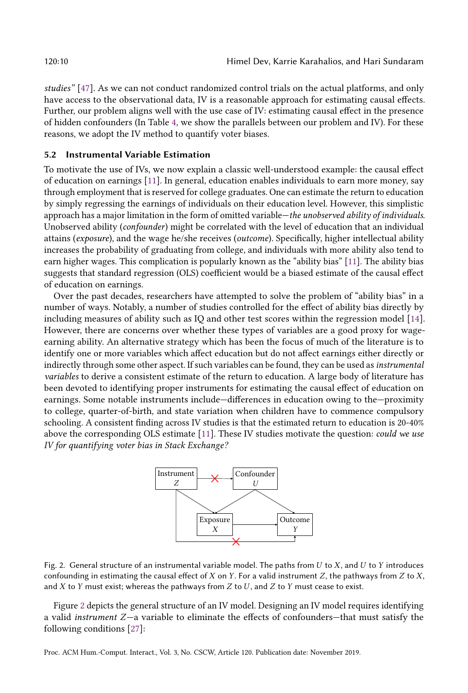studies" [\[47\]](#page-26-20). As we can not conduct randomized control trials on the actual platforms, and only have access to the observational data, IV is a reasonable approach for estimating causal effects. Further, our problem aligns well with the use case of IV: estimating causal effect in the presence of hidden confounders (In Table [4,](#page-8-2) we show the parallels between our problem and IV). For these reasons, we adopt the IV method to quantify voter biases.

#### <span id="page-9-0"></span>5.2 Instrumental Variable Estimation

To motivate the use of IVs, we now explain a classic well-understood example: the causal effect of education on earnings [\[11\]](#page-24-5). In general, education enables individuals to earn more money, say through employment that is reserved for college graduates. One can estimate the return to education by simply regressing the earnings of individuals on their education level. However, this simplistic approach has a major limitation in the form of omitted variable—the unobserved ability of individuals. Unobserved ability (confounder) might be correlated with the level of education that an individual attains (exposure), and the wage he/she receives (outcome). Specifically, higher intellectual ability increases the probability of graduating from college, and individuals with more ability also tend to earn higher wages. This complication is popularly known as the "ability bias" [\[11\]](#page-24-5). The ability bias suggests that standard regression (OLS) coefficient would be a biased estimate of the causal effect of education on earnings.

Over the past decades, researchers have attempted to solve the problem of "ability bias" in a number of ways. Notably, a number of studies controlled for the effect of ability bias directly by including measures of ability such as IQ and other test scores within the regression model [\[14\]](#page-24-11). However, there are concerns over whether these types of variables are a good proxy for wageearning ability. An alternative strategy which has been the focus of much of the literature is to identify one or more variables which affect education but do not affect earnings either directly or indirectly through some other aspect. If such variables can be found, they can be used as instrumental variables to derive a consistent estimate of the return to education. A large body of literature has been devoted to identifying proper instruments for estimating the causal effect of education on earnings. Some notable instruments include—differences in education owing to the—proximity to college, quarter-of-birth, and state variation when children have to commence compulsory schooling. A consistent finding across IV studies is that the estimated return to education is 20-40% above the corresponding OLS estimate [\[11\]](#page-24-5). These IV studies motivate the question: could we use IV for quantifying voter bias in Stack Exchange?



<span id="page-9-1"></span>Fig. 2. General structure of an instrumental variable model. The paths from  $U$  to  $X$ , and  $U$  to  $Y$  introduces confounding in estimating the causal effect of  $X$  on  $Y$ . For a valid instrument  $Z$ , the pathways from  $Z$  to  $X$ , and  $X$  to  $Y$  must exist; whereas the pathways from  $Z$  to  $U$ , and  $Z$  to  $Y$  must cease to exist.

Figure [2](#page-9-1) depicts the general structure of an IV model. Designing an IV model requires identifying a valid instrument Z—a variable to eliminate the effects of confounders—that must satisfy the following conditions [\[27\]](#page-25-11):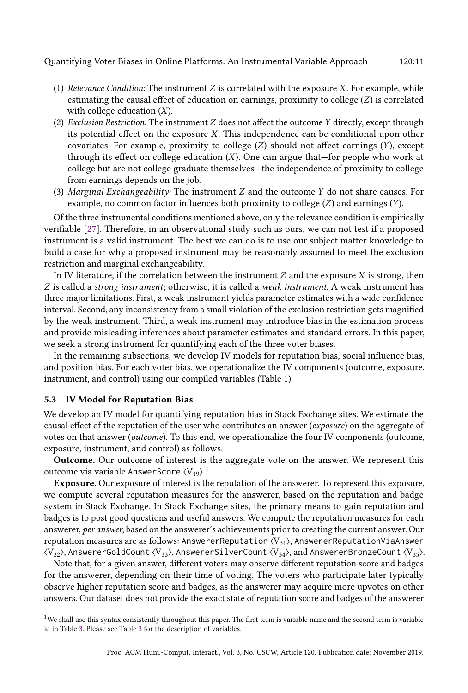- (1) Relevance Condition: The instrument  $Z$  is correlated with the exposure  $X$ . For example, while estimating the causal effect of education on earnings, proximity to college (Z) is correlated with college education  $(X)$ .
- (2) Exclusion Restriction: The instrument Z does not affect the outcome Y directly, except through its potential effect on the exposure  $X$ . This independence can be conditional upon other covariates. For example, proximity to college  $(Z)$  should not affect earnings  $(Y)$ , except through its effect on college education  $(X)$ . One can argue that—for people who work at college but are not college graduate themselves—the independence of proximity to college from earnings depends on the job.
- (3) Marginal Exchangeability: The instrument  $Z$  and the outcome  $Y$  do not share causes. For example, no common factor influences both proximity to college  $(Z)$  and earnings  $(Y)$ .

Of the three instrumental conditions mentioned above, only the relevance condition is empirically verifiable [\[27\]](#page-25-11). Therefore, in an observational study such as ours, we can not test if a proposed instrument is a valid instrument. The best we can do is to use our subject matter knowledge to build a case for why a proposed instrument may be reasonably assumed to meet the exclusion restriction and marginal exchangeability.

In IV literature, if the correlation between the instrument  $Z$  and the exposure  $X$  is strong, then Z is called a strong instrument; otherwise, it is called a weak instrument. A weak instrument has three major limitations. First, a weak instrument yields parameter estimates with a wide confidence interval. Second, any inconsistency from a small violation of the exclusion restriction gets magnified by the weak instrument. Third, a weak instrument may introduce bias in the estimation process and provide misleading inferences about parameter estimates and standard errors. In this paper, we seek a strong instrument for quantifying each of the three voter biases.

In the remaining subsections, we develop IV models for reputation bias, social influence bias, and position bias. For each voter bias, we operationalize the IV components (outcome, exposure, instrument, and control) using our compiled variables (Table 1).

### <span id="page-10-0"></span>5.3 IV Model for Reputation Bias

We develop an IV model for quantifying reputation bias in Stack Exchange sites. We estimate the causal effect of the reputation of the user who contributes an answer (exposure) on the aggregate of votes on that answer (outcome). To this end, we operationalize the four IV components (outcome, exposure, instrument, and control) as follows.

Outcome. Our outcome of interest is the aggregate vote on the answer. We represent this outcome via variable AnswerScore  $\langle V_{19} \rangle$  $\langle V_{19} \rangle$  $\langle V_{19} \rangle$   $^1$ .

Exposure. Our exposure of interest is the reputation of the answerer. To represent this exposure, we compute several reputation measures for the answerer, based on the reputation and badge system in Stack Exchange. In Stack Exchange sites, the primary means to gain reputation and badges is to post good questions and useful answers. We compute the reputation measures for each answerer, per answer, based on the answerer's achievements prior to creating the current answer. Our reputation measures are as follows: AnswererReputation  $\langle V_{31} \rangle$ , AnswererReputationViaAnswer  $\langle V_{32} \rangle$ , AnswererGoldCount  $\langle V_{33} \rangle$ , AnswererSilverCount  $\langle V_{34} \rangle$ , and AnswererBronzeCount  $\langle V_{35} \rangle$ .

Note that, for a given answer, different voters may observe different reputation score and badges for the answerer, depending on their time of voting. The voters who participate later typically observe higher reputation score and badges, as the answerer may acquire more upvotes on other answers. Our dataset does not provide the exact state of reputation score and badges of the answerer

<span id="page-10-1"></span><sup>&</sup>lt;sup>1</sup>We shall use this syntax consistently throughout this paper. The first term is variable name and the second term is variable id in Table [3.](#page-7-1) Please see Table [3](#page-7-1) for the description of variables.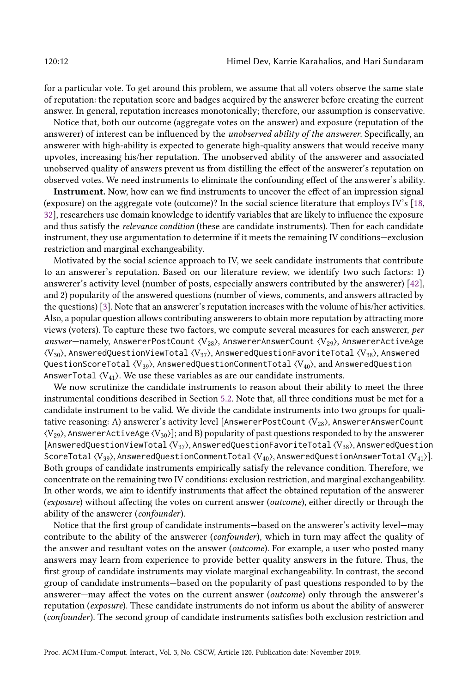for a particular vote. To get around this problem, we assume that all voters observe the same state of reputation: the reputation score and badges acquired by the answerer before creating the current answer. In general, reputation increases monotonically; therefore, our assumption is conservative.

Notice that, both our outcome (aggregate votes on the answer) and exposure (reputation of the answerer) of interest can be influenced by the *unobserved ability of the answerer*. Specifically, an answerer with high-ability is expected to generate high-quality answers that would receive many upvotes, increasing his/her reputation. The unobserved ability of the answerer and associated unobserved quality of answers prevent us from distilling the effect of the answerer's reputation on observed votes. We need instruments to eliminate the confounding effect of the answerer's ability.

Instrument. Now, how can we find instruments to uncover the effect of an impression signal (exposure) on the aggregate vote (outcome)? In the social science literature that employs IV's [\[18,](#page-25-9) [32\]](#page-25-10), researchers use domain knowledge to identify variables that are likely to influence the exposure and thus satisfy the relevance condition (these are candidate instruments). Then for each candidate instrument, they use argumentation to determine if it meets the remaining IV conditions—exclusion restriction and marginal exchangeability.

Motivated by the social science approach to IV, we seek candidate instruments that contribute to an answerer's reputation. Based on our literature review, we identify two such factors: 1) answerer's activity level (number of posts, especially answers contributed by the answerer) [\[42\]](#page-26-8), and 2) popularity of the answered questions (number of views, comments, and answers attracted by the questions) [\[3\]](#page-24-12). Note that an answerer's reputation increases with the volume of his/her activities. Also, a popular question allows contributing answerers to obtain more reputation by attracting more views (voters). To capture these two factors, we compute several measures for each answerer, per answer—namely, AnswererPostCount  $\langle V_{28} \rangle$ , AnswererAnswerCount  $\langle V_{29} \rangle$ , AnswererActiveAge  $\langle V_{30} \rangle$ , AnsweredQuestionViewTotal  $\langle V_{37} \rangle$ , AnsweredQuestionFavoriteTotal  $\langle V_{38} \rangle$ , Answered QuestionScoreTotal  $\langle V_{39} \rangle$ , AnsweredQuestionCommentTotal  $\langle V_{40} \rangle$ , and AnsweredQuestion AnswerTotal  $\langle V_{41} \rangle$ . We use these variables as are our candidate instruments.

We now scrutinize the candidate instruments to reason about their ability to meet the three instrumental conditions described in Section [5.2.](#page-9-0) Note that, all three conditions must be met for a candidate instrument to be valid. We divide the candidate instruments into two groups for qualitative reasoning: A) answerer's activity level [AnswererPostCount  $\langle V_{28} \rangle$ , AnswererAnswerCount  $\langle V_{29} \rangle$ , AnswererActiveAge  $\langle V_{30} \rangle$ ]; and B) popularity of past questions responded to by the answerer [AnsweredQuestionViewTotal  $\langle V_{37} \rangle$ , AnsweredQuestionFavoriteTotal  $\langle V_{38} \rangle$ , AnsweredQuestion ScoreTotal  $\langle V_{39} \rangle$ , AnsweredQuestionCommentTotal  $\langle V_{40} \rangle$ , AnsweredQuestionAnswerTotal  $\langle V_{41} \rangle$ ]. Both groups of candidate instruments empirically satisfy the relevance condition. Therefore, we concentrate on the remaining two IV conditions: exclusion restriction, and marginal exchangeability. In other words, we aim to identify instruments that affect the obtained reputation of the answerer (exposure) without affecting the votes on current answer (outcome), either directly or through the ability of the answerer (confounder).

Notice that the first group of candidate instruments—based on the answerer's activity level—may contribute to the ability of the answerer (confounder), which in turn may affect the quality of the answer and resultant votes on the answer (outcome). For example, a user who posted many answers may learn from experience to provide better quality answers in the future. Thus, the first group of candidate instruments may violate marginal exchangeability. In contrast, the second group of candidate instruments—based on the popularity of past questions responded to by the answerer—may affect the votes on the current answer (outcome) only through the answerer's reputation (exposure). These candidate instruments do not inform us about the ability of answerer (confounder). The second group of candidate instruments satisfies both exclusion restriction and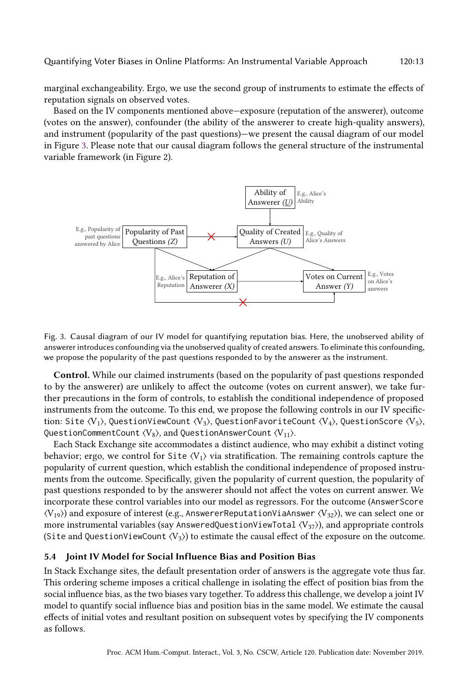Based on the IV components mentioned above—exposure (reputation of the answerer), outcome (votes on the answer), confounder (the ability of the answerer to create high-quality answers), and instrument (popularity of the past questions)—we present the causal diagram of our model in Figure [3.](#page-12-1) Please note that our causal diagram follows the general structure of the instrumental variable framework (in Figure 2).

<span id="page-12-1"></span>



Control. While our claimed instruments (based on the popularity of past questions responded to by the answerer) are unlikely to affect the outcome (votes on current answer), we take further precautions in the form of controls, to establish the conditional independence of proposed instruments from the outcome. To this end, we propose the following controls in our IV specifiction: Site  $\langle V_1 \rangle$ , QuestionViewCount  $\langle V_3 \rangle$ , QuestionFavoriteCount  $\langle V_4 \rangle$ , QuestionScore  $\langle V_5 \rangle$ , QuestionCommentCount  $\langle V_8 \rangle$ , and QuestionAnswerCount  $\langle V_{11} \rangle$ .

Each Stack Exchange site accommodates a distinct audience, who may exhibit a distinct voting behavior; ergo, we control for Site  $\langle V_1 \rangle$  via stratification. The remaining controls capture the popularity of current question, which establish the conditional independence of proposed instruments from the outcome. Specifically, given the popularity of current question, the popularity of past questions responded to by the answerer should not affect the votes on current answer. We incorporate these control variables into our model as regressors. For the outcome (AnswerScore  $\langle V_{19} \rangle$ ) and exposure of interest (e.g., AnswererReputationViaAnswer  $\langle V_{32} \rangle$ ), we can select one or more instrumental variables (say AnsweredQuestionViewTotal  $\langle V_{37} \rangle$ ), and appropriate controls (Site and QuestionViewCount  $\langle V_3 \rangle$ ) to estimate the causal effect of the exposure on the outcome.

# <span id="page-12-0"></span>5.4 Joint IV Model for Social Influence Bias and Position Bias

In Stack Exchange sites, the default presentation order of answers is the aggregate vote thus far. This ordering scheme imposes a critical challenge in isolating the effect of position bias from the social influence bias, as the two biases vary together. To address this challenge, we develop a joint IV model to quantify social influence bias and position bias in the same model. We estimate the causal effects of initial votes and resultant position on subsequent votes by specifying the IV components as follows.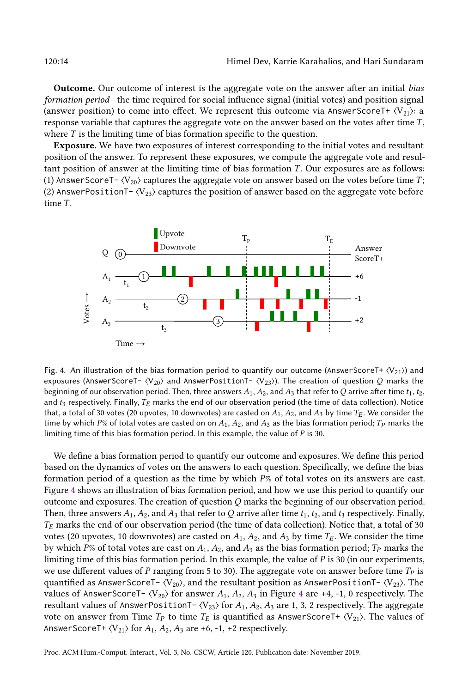Outcome. Our outcome of interest is the aggregate vote on the answer after an initial bias formation period—the time required for social influence signal (initial votes) and position signal (answer position) to come into effect. We represent this outcome via AnswerScoreT+  $\langle V_{21} \rangle$ : a response variable that captures the aggregate vote on the answer based on the votes after time T, where  $T$  is the limiting time of bias formation specific to the question.

Exposure. We have two exposures of interest corresponding to the initial votes and resultant position of the answer. To represent these exposures, we compute the aggregate vote and resultant position of answer at the limiting time of bias formation T. Our exposures are as follows: (1) AnswerScoreT- $\langle V_{20} \rangle$  captures the aggregate vote on answer based on the votes before time T; (2) AnswerPositionT- $\langle V_{23} \rangle$  captures the position of answer based on the aggregate vote before time T.

<span id="page-13-0"></span>

Fig. 4. An illustration of the bias formation period to quantify our outcome (AnswerScoreT+ ⟨V21⟩) and exposures (AnswerScoreT- $\langle V_{20} \rangle$  and AnswerPositionT- $\langle V_{23} \rangle$ ). The creation of question Q marks the beginning of our observation period. Then, three answers  $A_1$ ,  $A_2$ , and  $A_3$  that refer to Q arrive after time  $t_1$ ,  $t_2$ , and  $t_3$  respectively. Finally,  $T_E$  marks the end of our observation period (the time of data collection). Notice that, a total of 30 votes (20 upvotes, 10 downvotes) are casted on  $A_1$ ,  $A_2$ , and  $A_3$  by time  $T_F$ . We consider the time by which P% of total votes are casted on on  $A_1$ ,  $A_2$ , and  $A_3$  as the bias formation period;  $T_P$  marks the limiting time of this bias formation period. In this example, the value of P is <sup>30</sup>.

We define a bias formation period to quantify our outcome and exposures. We define this period based on the dynamics of votes on the answers to each question. Specifically, we define the bias formation period of a question as the time by which  $P\%$  of total votes on its answers are cast. Figure [4](#page-13-0) shows an illustration of bias formation period, and how we use this period to quantify our outcome and exposures. The creation of question  $Q$  marks the beginning of our observation period. Then, three answers  $A_1$ ,  $A_2$ , and  $A_3$  that refer to Q arrive after time  $t_1$ ,  $t_2$ , and  $t_3$  respectively. Finally,  $T_E$  marks the end of our observation period (the time of data collection). Notice that, a total of 30 votes (20 upvotes, 10 downvotes) are casted on  $A_1$ ,  $A_2$ , and  $A_3$  by time  $T_E$ . We consider the time by which P% of total votes are cast on  $A_1$ ,  $A_2$ , and  $A_3$  as the bias formation period;  $T_P$  marks the limiting time of this bias formation period. In this example, the value of  $P$  is 30 (in our experiments, we use different values of P ranging from 5 to 30). The aggregate vote on answer before time  $T_P$  is quantified as AnswerScoreT- $\langle V_{20} \rangle$ , and the resultant position as AnswerPositionT- $\langle V_{23} \rangle$ . The values of AnswerScoreT-  $\langle V_{20} \rangle$  for answer  $A_1, A_2, A_3$  in Figure [4](#page-13-0) are +4, -1, 0 respectively. The resultant values of AnswerPositionT- $\langle V_{23} \rangle$  for  $A_1, A_2, A_3$  are 1, 3, 2 respectively. The aggregate vote on answer from Time  $T_P$  to time  $T_E$  is quantified as AnswerScoreT+  $\langle V_{21} \rangle$ . The values of AnswerScoreT+  $\langle V_{21} \rangle$  for  $A_1$ ,  $A_2$ ,  $A_3$  are +6, -1, +2 respectively.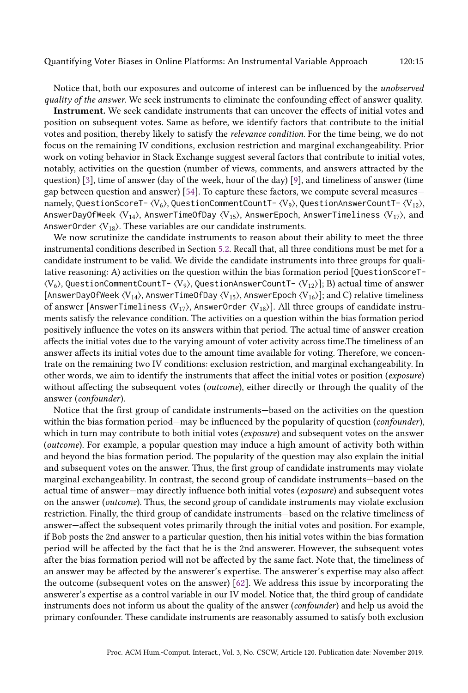Notice that, both our exposures and outcome of interest can be influenced by the unobserved quality of the answer. We seek instruments to eliminate the confounding effect of answer quality.

Instrument. We seek candidate instruments that can uncover the effects of initial votes and position on subsequent votes. Same as before, we identify factors that contribute to the initial votes and position, thereby likely to satisfy the relevance condition. For the time being, we do not focus on the remaining IV conditions, exclusion restriction and marginal exchangeability. Prior work on voting behavior in Stack Exchange suggest several factors that contribute to initial votes, notably, activities on the question (number of views, comments, and answers attracted by the question) [\[3\]](#page-24-12), time of answer (day of the week, hour of the day) [\[9\]](#page-24-1), and timeliness of answer (time gap between question and answer) [\[54\]](#page-26-5). To capture these factors, we compute several measures namely, QuestionScoreT-  $\langle V_6 \rangle$ , QuestionCommentCountT-  $\langle V_9 \rangle$ , QuestionAnswerCountT-  $\langle V_{12} \rangle$ , AnswerDayOfWeek  $\langle V_{14} \rangle$ , AnswerTimeOfDay  $\langle V_{15} \rangle$ , AnswerEpoch, AnswerTimeliness  $\langle V_{17} \rangle$ , and AnswerOrder  $\langle V_{18} \rangle$ . These variables are our candidate instruments.

We now scrutinize the candidate instruments to reason about their ability to meet the three instrumental conditions described in Section [5.2.](#page-9-0) Recall that, all three conditions must be met for a candidate instrument to be valid. We divide the candidate instruments into three groups for qualitative reasoning: A) activities on the question within the bias formation period [QuestionScoreT-  $\langle V_6 \rangle$ , QuestionCommentCountT- $\langle V_9 \rangle$ , QuestionAnswerCountT- $\langle V_{12} \rangle$ ]; B) actual time of answer [AnswerDayOfWeek  $\langle V_{14} \rangle$ , AnswerTimeOfDay  $\langle V_{15} \rangle$ , AnswerEpoch  $\langle V_{16} \rangle$ ]; and C) relative timeliness of answer [AnswerTimeliness  $\langle V_{17} \rangle$ , AnswerOrder  $\langle V_{18} \rangle$ ]. All three groups of candidate instruments satisfy the relevance condition. The activities on a question within the bias formation period positively influence the votes on its answers within that period. The actual time of answer creation affects the initial votes due to the varying amount of voter activity across time.The timeliness of an answer affects its initial votes due to the amount time available for voting. Therefore, we concentrate on the remaining two IV conditions: exclusion restriction, and marginal exchangeability. In other words, we aim to identify the instruments that affect the initial votes or position (exposure) without affecting the subsequent votes (*outcome*), either directly or through the quality of the answer (confounder).

Notice that the first group of candidate instruments—based on the activities on the question within the bias formation period—may be influenced by the popularity of question (*confounder*), which in turn may contribute to both initial votes (exposure) and subsequent votes on the answer (outcome). For example, a popular question may induce a high amount of activity both within and beyond the bias formation period. The popularity of the question may also explain the initial and subsequent votes on the answer. Thus, the first group of candidate instruments may violate marginal exchangeability. In contrast, the second group of candidate instruments—based on the actual time of answer—may directly influence both initial votes (exposure) and subsequent votes on the answer (outcome). Thus, the second group of candidate instruments may violate exclusion restriction. Finally, the third group of candidate instruments—based on the relative timeliness of answer—affect the subsequent votes primarily through the initial votes and position. For example, if Bob posts the 2nd answer to a particular question, then his initial votes within the bias formation period will be affected by the fact that he is the 2nd answerer. However, the subsequent votes after the bias formation period will not be affected by the same fact. Note that, the timeliness of an answer may be affected by the answerer's expertise. The answerer's expertise may also affect the outcome (subsequent votes on the answer) [\[62\]](#page-26-21). We address this issue by incorporating the answerer's expertise as a control variable in our IV model. Notice that, the third group of candidate instruments does not inform us about the quality of the answer (confounder) and help us avoid the primary confounder. These candidate instruments are reasonably assumed to satisfy both exclusion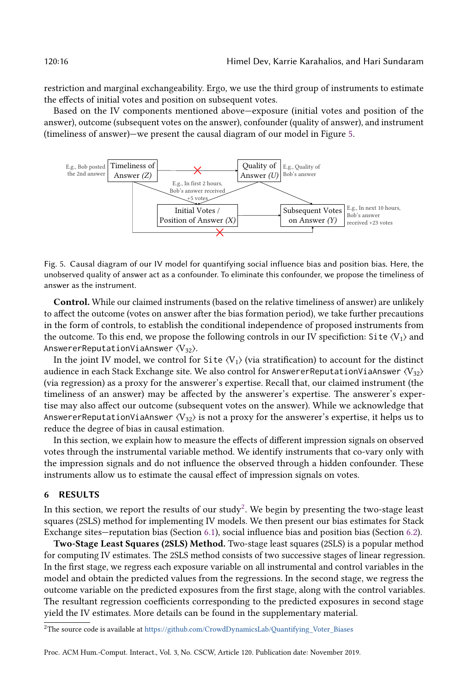restriction and marginal exchangeability. Ergo, we use the third group of instruments to estimate the effects of initial votes and position on subsequent votes.

Based on the IV components mentioned above—exposure (initial votes and position of the answer), outcome (subsequent votes on the answer), confounder (quality of answer), and instrument (timeliness of answer)—we present the causal diagram of our model in Figure [5.](#page-15-1)

<span id="page-15-1"></span>

Fig. 5. Causal diagram of our IV model for quantifying social influence bias and position bias. Here, the unobserved quality of answer act as a confounder. To eliminate this confounder, we propose the timeliness of answer as the instrument.

Control. While our claimed instruments (based on the relative timeliness of answer) are unlikely to affect the outcome (votes on answer after the bias formation period), we take further precautions in the form of controls, to establish the conditional independence of proposed instruments from the outcome. To this end, we propose the following controls in our IV specifiction: Site  $\langle V_1 \rangle$  and AnswererReputationViaAnswer $\langle V_{32} \rangle$ .

In the joint IV model, we control for Site  $\langle V_1 \rangle$  (via stratification) to account for the distinct audience in each Stack Exchange site. We also control for AnswererReputationViaAnswer  $\langle V_{32} \rangle$ (via regression) as a proxy for the answerer's expertise. Recall that, our claimed instrument (the timeliness of an answer) may be affected by the answerer's expertise. The answerer's expertise may also affect our outcome (subsequent votes on the answer). While we acknowledge that AnswererReputationViaAnswer  $\langle V_{32} \rangle$  is not a proxy for the answerer's expertise, it helps us to reduce the degree of bias in causal estimation.

In this section, we explain how to measure the effects of different impression signals on observed votes through the instrumental variable method. We identify instruments that co-vary only with the impression signals and do not influence the observed through a hidden confounder. These instruments allow us to estimate the causal effect of impression signals on votes.

#### <span id="page-15-0"></span>6 RESULTS

In this section, we report the results of our study<sup>[2](#page-15-2)</sup>. We begin by presenting the two-stage least squares (2SLS) method for implementing IV models. We then present our bias estimates for Stack Exchange sites—reputation bias (Section [6.1\)](#page-16-0), social influence bias and position bias (Section [6.2\)](#page-16-1).

Two-Stage Least Squares (2SLS) Method. Two-stage least squares (2SLS) is a popular method for computing IV estimates. The 2SLS method consists of two successive stages of linear regression. In the first stage, we regress each exposure variable on all instrumental and control variables in the model and obtain the predicted values from the regressions. In the second stage, we regress the outcome variable on the predicted exposures from the first stage, along with the control variables. The resultant regression coefficients corresponding to the predicted exposures in second stage yield the IV estimates. More details can be found in the supplementary material.

<span id="page-15-2"></span><sup>&</sup>lt;sup>2</sup>The source code is available at [https://github.com/CrowdDynamicsLab/Quantifying\\_Voter\\_Biases](https://github.com/CrowdDynamicsLab/Quantifying_Voter_Biases)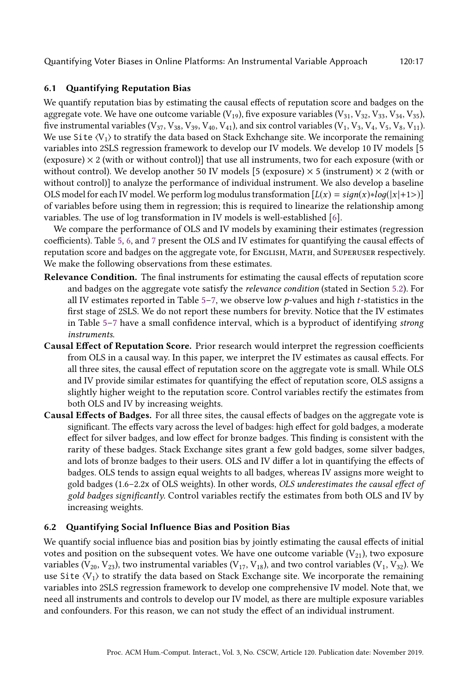# <span id="page-16-0"></span>6.1 Quantifying Reputation Bias

We quantify reputation bias by estimating the causal effects of reputation score and badges on the aggregate vote. We have one outcome variable  $(V_{19})$ , five exposure variables  $(V_{31}, V_{32}, V_{33}, V_{34}, V_{35})$ , five instrumental variables ( $V_{37}$ ,  $V_{38}$ ,  $V_{39}$ ,  $V_{40}$ ,  $V_{41}$ ), and six control variables ( $V_1$ ,  $V_3$ ,  $V_4$ ,  $V_5$ ,  $V_8$ ,  $V_{11}$ ). We use Site  $\langle V_1 \rangle$  to stratify the data based on Stack Exhchange site. We incorporate the remaining variables into 2SLS regression framework to develop our IV models. We develop 10 IV models [5 (exposure)  $\times$  2 (with or without control)] that use all instruments, two for each exposure (with or without control). We develop another 50 IV models [5 (exposure)  $\times$  5 (instrument)  $\times$  2 (with or without control)] to analyze the performance of individual instrument. We also develop a baseline OLS model for each IV model. We perform log modulus transformation  $[L(x) = sign(x)*log(|x|+1>)]$ of variables before using them in regression; this is required to linearize the relationship among variables. The use of log transformation in IV models is well-established [\[6\]](#page-24-13).

We compare the performance of OLS and IV models by examining their estimates (regression coefficients). Table [5,](#page-17-0) [6,](#page-18-0) and [7](#page-19-0) present the OLS and IV estimates for quantifying the causal effects of reputation score and badges on the aggregate vote, for English, Math, and Superuser respectively. We make the following observations from these estimates.

- Relevance Condition. The final instruments for estimating the causal effects of reputation score and badges on the aggregate vote satisfy the relevance condition (stated in Section [5.2\)](#page-9-0). For all IV estimates reported in Table [5](#page-17-0)[–7,](#page-19-0) we observe low  $p$ -values and high t-statistics in the first stage of 2SLS. We do not report these numbers for brevity. Notice that the IV estimates in Table [5](#page-17-0)[–7](#page-19-0) have a small confidence interval, which is a byproduct of identifying strong instruments.
- Causal Effect of Reputation Score. Prior research would interpret the regression coefficients from OLS in a causal way. In this paper, we interpret the IV estimates as causal effects. For all three sites, the causal effect of reputation score on the aggregate vote is small. While OLS and IV provide similar estimates for quantifying the effect of reputation score, OLS assigns a slightly higher weight to the reputation score. Control variables rectify the estimates from both OLS and IV by increasing weights.
- Causal Effects of Badges. For all three sites, the causal effects of badges on the aggregate vote is significant. The effects vary across the level of badges: high effect for gold badges, a moderate effect for silver badges, and low effect for bronze badges. This finding is consistent with the rarity of these badges. Stack Exchange sites grant a few gold badges, some silver badges, and lots of bronze badges to their users. OLS and IV differ a lot in quantifying the effects of badges. OLS tends to assign equal weights to all badges, whereas IV assigns more weight to gold badges (1.6–2.2x of OLS weights). In other words, OLS underestimates the causal effect of gold badges significantly. Control variables rectify the estimates from both OLS and IV by increasing weights.

# <span id="page-16-1"></span>6.2 Quantifying Social Influence Bias and Position Bias

We quantify social influence bias and position bias by jointly estimating the causal effects of initial votes and position on the subsequent votes. We have one outcome variable  $(V_{21})$ , two exposure variables (V<sub>20</sub>, V<sub>23</sub>), two instrumental variables (V<sub>17</sub>, V<sub>18</sub>), and two control variables (V<sub>1</sub>, V<sub>32</sub>). We use Site  $\langle V_1 \rangle$  to stratify the data based on Stack Exchange site. We incorporate the remaining variables into 2SLS regression framework to develop one comprehensive IV model. Note that, we need all instruments and controls to develop our IV model, as there are multiple exposure variables and confounders. For this reason, we can not study the effect of an individual instrument.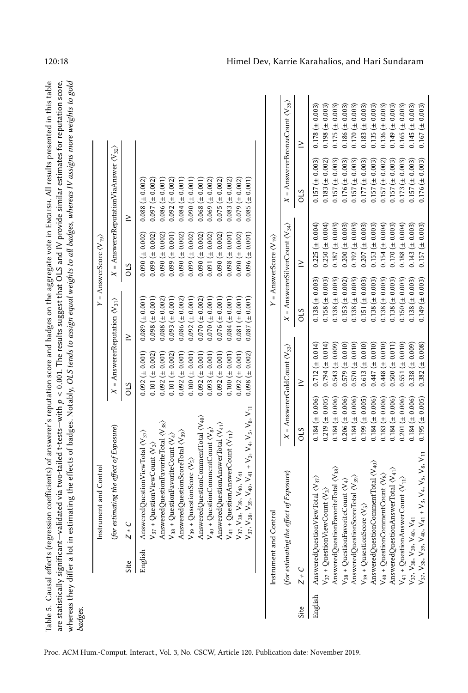<span id="page-17-0"></span>

| Table 5. Causal effects (regression coefficients) of answerer's reputation score and badges on the aggregate vote in Enclist. All results presented in this table      |
|------------------------------------------------------------------------------------------------------------------------------------------------------------------------|
| ne statistically significant–validated via two-tailed t-tests–with $p < 0.001$ . The results suggest that OLS and IV provide similar estimates for reputation score,   |
| hereas they differ a lot in estimating the effects of badges. Notably, OLS <i>tends to assign equal weights to all badges, whereas IV assigns more weights to gold</i> |
| aages.                                                                                                                                                                 |
|                                                                                                                                                                        |

|         |                                          | Instrument and Control                                                                                                                                                                                                                                                                                                                                                                                                                                                                                                                                                                                                                                                                                                                                                                                                                                    |                                                                                                                                                                                                                                                                                      |                                                                                                                                                                                                                                                                                              |                                                                                                                                                                                                                                                                                          | $Y =$ AnswerScore $\langle V_{19} \rangle$                                                                                                                                                                                                                                                       |                                                                                                                                                                                                                                                                                            |                                                                                                                                                                                                                                                                                              |
|---------|------------------------------------------|-----------------------------------------------------------------------------------------------------------------------------------------------------------------------------------------------------------------------------------------------------------------------------------------------------------------------------------------------------------------------------------------------------------------------------------------------------------------------------------------------------------------------------------------------------------------------------------------------------------------------------------------------------------------------------------------------------------------------------------------------------------------------------------------------------------------------------------------------------------|--------------------------------------------------------------------------------------------------------------------------------------------------------------------------------------------------------------------------------------------------------------------------------------|----------------------------------------------------------------------------------------------------------------------------------------------------------------------------------------------------------------------------------------------------------------------------------------------|------------------------------------------------------------------------------------------------------------------------------------------------------------------------------------------------------------------------------------------------------------------------------------------|--------------------------------------------------------------------------------------------------------------------------------------------------------------------------------------------------------------------------------------------------------------------------------------------------|--------------------------------------------------------------------------------------------------------------------------------------------------------------------------------------------------------------------------------------------------------------------------------------------|----------------------------------------------------------------------------------------------------------------------------------------------------------------------------------------------------------------------------------------------------------------------------------------------|
|         |                                          | (for estimating the effect of Exposure)                                                                                                                                                                                                                                                                                                                                                                                                                                                                                                                                                                                                                                                                                                                                                                                                                   |                                                                                                                                                                                                                                                                                      | $X =$ Answerer<br>Reputation $\langle V_{31} \rangle$                                                                                                                                                                                                                                        |                                                                                                                                                                                                                                                                                          |                                                                                                                                                                                                                                                                                                  | $X =$ AnswererReputationViaAnswer $\langle V_{32} \rangle$                                                                                                                                                                                                                                 |                                                                                                                                                                                                                                                                                              |
|         | Site                                     | $Z + C$                                                                                                                                                                                                                                                                                                                                                                                                                                                                                                                                                                                                                                                                                                                                                                                                                                                   |                                                                                                                                                                                                                                                                                      | STO                                                                                                                                                                                                                                                                                          | ≥                                                                                                                                                                                                                                                                                        | <b>CIS</b>                                                                                                                                                                                                                                                                                       | $\geq$                                                                                                                                                                                                                                                                                     |                                                                                                                                                                                                                                                                                              |
|         | English                                  | $V_{41}$ + Question<br>AnswerCount $\langle V_{11} \rangle$<br>$V_{35}$ , $V_{38}$ , $V_{39}$ , $V_{40}$ , $V_{41}$<br>$V_{37}$ , $V_{38}$ , $V_{39}$ , $V_{40}$ , $V_{41}$ + $V_{3}$ , $V_{4}$ , $V_{5}$ , $V_{6}$ , $V_{11}$<br>AnsweredQuestionCommentTotal <v<sub>40&gt;<br/>AnsweredQuestionFavoriteTotal<math>\langle V_{38} \rangle</math><br/>AnsweredQuestionAnswerTotal <v<sub>41&gt;<br/><math>V_{40}</math> + QuestionCommentCount <math>\langle V_8 \rangle</math><br/>AnsweredQuestionScoreTotal (V<sub>39</sub>)<br/>AnsweredQuestionViewTotal <math>\langle V_{37} \rangle</math><br/><math>V_{38}</math> + QuestionFavoriteCount <math>\langle V_4 \rangle</math><br/><math>V_{37}</math> + QuestionViewCount <math>\langle V_3 \rangle</math><br/><math>V_{39}</math> + QusestionScore <math>\langle V_5 \rangle</math></v<sub></v<sub> |                                                                                                                                                                                                                                                                                      | $0.092 (\pm 0.001)$<br>$0.101 (\pm 0.002)$<br>$0.092 (\pm 0.001)$<br>$0.101 (\pm 0.002)$<br>$0.092 \ (\pm 0.001)$<br>$0.098 \ (\pm 0.002)$<br>$0.100 \ (\pm 0.001)$<br>$0.092 (\pm 0.001)$<br>$0.093 \ (\pm 0.001)$<br>$0.092 \ (\pm 0.001)$<br>$0.100 \ (\pm 0.001)$<br>$0.092 (\pm 0.001)$ | $0.081 (\pm 0.001)$<br>$0.098 \ (\pm 0.001)$<br>$0.093 \ (\pm 0.001)$<br>$0.086 (\pm 0.002)$<br>$0.092 (\pm 0.001)$<br>$0.070 (\pm 0.002)$<br>$0.076 (\pm 0.001)$<br>$0.087 (\pm 0.001)$<br>$0.089 (\pm 0.001)$<br>$0.088 \ (\pm 0.002)$<br>$0.070 (\pm 0.001)$<br>$0.084 (\pm 0.001)$   | $0.090 \ (\pm 0.002)$<br>$0.099 \ (\pm 0.001)$<br>$0.090 \ (\pm 0.002)$<br>$0.099 (= 0.002)$<br>$0.090 \ (\pm 0.002)$<br>$0.096 (\pm 0.001)$<br>$0.090 \ (\pm 0.002)$<br>$0.099 \ (\pm 0.002)$<br>$0.090 \ (\pm 0.002)$<br>$0.091 (\pm 0.002)$<br>$0.090 \ (\pm 0.002)$<br>$0.098 \ (\pm 0.001)$ | $0.097 (\pm 0.002)$<br>$0.086 (\pm 0.001)$<br>$0.092 (\pm 0.002)$<br>$0.088 \ (\pm 0.002)$<br>$0.084 (\pm 0.001)$<br>$0.000 \pm 0.001$<br>$0.068 (\pm 0.001)$<br>$0.069 (\pm 0.002)$<br>$0.075 \ (\pm 0.002)$<br>$0.083 (\pm 0.002)$<br>$0.079 \ (\pm 0.002)$<br>$0.085 (\pm 0.001)$       |                                                                                                                                                                                                                                                                                              |
|         | Instrument and Control                   |                                                                                                                                                                                                                                                                                                                                                                                                                                                                                                                                                                                                                                                                                                                                                                                                                                                           |                                                                                                                                                                                                                                                                                      |                                                                                                                                                                                                                                                                                              |                                                                                                                                                                                                                                                                                          | $Y =$ AnswerScore $\langle V_{19} \rangle$                                                                                                                                                                                                                                                       |                                                                                                                                                                                                                                                                                            |                                                                                                                                                                                                                                                                                              |
|         | (for estimating the ef                   | fect of Exposure)                                                                                                                                                                                                                                                                                                                                                                                                                                                                                                                                                                                                                                                                                                                                                                                                                                         |                                                                                                                                                                                                                                                                                      | $X =$ AnswererGoldCount $\langle V_{33} \rangle$                                                                                                                                                                                                                                             |                                                                                                                                                                                                                                                                                          | $X =$ AnswererSilverCount $\langle V_{34} \rangle$                                                                                                                                                                                                                                               |                                                                                                                                                                                                                                                                                            | $X = \text{AnswererBronzeCount} \langle V_{35} \rangle$                                                                                                                                                                                                                                      |
| Site    | $Z + C$                                  |                                                                                                                                                                                                                                                                                                                                                                                                                                                                                                                                                                                                                                                                                                                                                                                                                                                           | <b>OLS</b>                                                                                                                                                                                                                                                                           | $\geq$                                                                                                                                                                                                                                                                                       | <b>OLS</b>                                                                                                                                                                                                                                                                               | $\geq$                                                                                                                                                                                                                                                                                           | STO                                                                                                                                                                                                                                                                                        | $\geq$                                                                                                                                                                                                                                                                                       |
| English | $V_{37}, V_{38}, V_{39}, V_{40}, V_{41}$ | $V_{37}, V_{38}, V_{39}, V_{40}, V_{41} + V_{3}, V_{4}, V_{5}, V_{8}, V_{11}$<br>AnsweredQuestionCommentTotal <v40><br/>AnsweredQuestionFavoriteTotal <v<sub>38&gt;<br/>AnsweredQuestionAnswerTotal <v41><br/><math>V_{40}</math> + QuestionCommentCount <math>\langle V_8 \rangle</math><br/>AnsweredQuestionScoreTotal <v39><br/>AnsweredQuestionViewTotal<math>\langle V_{37} \rangle</math><br/><math>V_{41}</math> + Question Answer Count <math>\langle V_{11} \rangle</math><br/><math>V_{38}</math> + QuestionFavoriteCount <math>\langle V_4 \rangle</math><br/><math>V_{37}</math> + Question View Count <math>\langle V_3 \rangle</math><br/><math display="inline">\mathsf{V}_{39}</math> + Qusestion<br/>Score <math display="inline">\langle \mathsf{V}_{5} \rangle</math></v39></v41></v<sub></v40>                                        | $0.184 (\pm 0.006)$<br>$0.219 \ (\pm 0.005)$<br>$0.184 (\pm 0.006)$<br>$0.206 (\pm 0.006)$<br>$0.184 (\pm 0.006)$<br>$0.184 (\pm 0.006)$<br>$0.183 (\pm 0.006)$<br>$0.184 (\pm 0.006)$<br>$0.201 (\pm 0.006)$<br>$0.184 (\pm 0.006)$<br>$0.195 (\pm 0.005)$<br>$0.199 \ (\pm 0.005)$ | $0.447 (\pm 0.010)$<br>$0.448 (\pm 0.010)$<br>$0.500 (\pm 0.011)$<br>$0.712 (\pm 0.014)$<br>$0.794 \ (\pm 0.014)$<br>$0.543 (\pm 0.009)$<br>$0.613 (\pm 0.010)$<br>$0.551 (\pm 0.010)$<br>$0.338 (\pm 0.009)$<br>$0.579 \ (\pm 0.010)$<br>$0.570 (\pm 0.010)$<br>$0.382 (\pm 0.008)$         | $0.138 (\pm 0.003)$<br>$0.138 (\pm 0.003)$<br>$0.158 \ (\pm 0.003)$<br>$0.138 (\pm 0.003)$<br>$0.138 \ (\pm 0.003)$<br>$0.151 (\pm 0.003)$<br>$0.138 (\pm 0.003)$<br>$0.138 (\pm 0.003)$<br>$0.150 \ (\pm 0.003)$<br>$0.138 (\pm 0.003)$<br>$0.149 \ (\pm 0.003)$<br>$0.153 (\pm 0.002)$ | $0.225 (\pm 0.004)$<br>$0.250 (\pm 0.004)$<br>$0.154 \ (\pm 0.004)$<br>$0.187 (\pm 0.003)$<br>$0.200 \ (\pm 0.003)$<br>$0.192 (\pm 0.003)$<br>$0.207 (\pm 0.003)$<br>$0.153 (\pm 0.003)$<br>$0.170 \ (\pm 0.003)$<br>$0.188 \ (\pm 0.004)$<br>$0.143 (\pm 0.003)$<br>$0.157 (\pm 0.003)$         | $0.176 (\pm 0.003)$<br>$0.183 \ (\pm 0.002)$<br>$0.157 (\pm 0.003)$<br>$0.157 (\pm 0.003)$<br>$0.157 (\pm 0.003)$<br>$0.157 (\pm 0.003)$<br>$0.176 \ (\pm 0.003)$<br>$0.157 \ (\pm 0.003)$<br>$0.177 \ (\pm 0.003)$<br>$0.157 (\pm 0.002)$<br>$0.157 (\pm 0.003)$<br>$0.173 \ (\pm 0.003)$ | $0.178 \ (\pm 0.003)$<br>$0.170 \ (\pm 0.003)$<br>$0.183 (\pm 0.003)$<br>$0.135 \ (\pm 0.003)$<br>$0.136 (\pm 0.003)$<br>$0.149 \ (\pm 0.003)$<br>$0.165 (\pm 0.003)$<br>$0.145 (\pm 0.003)$<br>$0.167 (\pm 0.003)$<br>$0.198 \ (\pm 0.003)$<br>$0.175 \ (\pm 0.003)$<br>$0.186 (\pm 0.003)$ |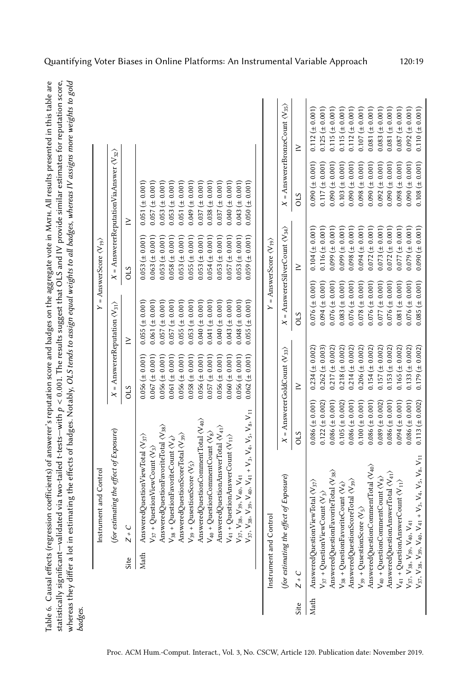|      |                                                                                         | Instrument and Contro                                                                                            |                       |                                                  |                                                       | $Y = \text{AnswerScore} \langle V_{19} \rangle$    |                                                            |                                                        |
|------|-----------------------------------------------------------------------------------------|------------------------------------------------------------------------------------------------------------------|-----------------------|--------------------------------------------------|-------------------------------------------------------|----------------------------------------------------|------------------------------------------------------------|--------------------------------------------------------|
|      |                                                                                         | (for estimating the effect of Exposure)                                                                          |                       |                                                  | $X =$ Answerer<br>Reputation $\langle V_{31} \rangle$ |                                                    | $X =$ AnswererReputationViaAnswer $\langle V_{32} \rangle$ |                                                        |
|      | Site                                                                                    | $Z + C$                                                                                                          |                       | <b>CIS</b>                                       | ≥                                                     | STO                                                | $\geq$                                                     |                                                        |
|      | Math                                                                                    | AnsweredQuestionViewTotal $\langle V_{37} \rangle$                                                               |                       | $0.056 (\pm 0.001)$                              | $0.055 (\pm 0.001)$                                   | $0.053 (\pm 0.001)$                                | $0.051 (\pm 0.001)$                                        |                                                        |
|      |                                                                                         | $V_{37}$ + QuestionViewCount $\langle V_3 \rangle$                                                               |                       | $0.067 (\pm 0.001)$                              | $0.061 (\pm 0.001)$                                   | $0.063 \ (\pm 0.001)$                              | $0.057 (\pm 0.001)$                                        |                                                        |
|      |                                                                                         | AnsweredQuestionFavoriteTotal $\langle V_{38} \rangle$<br>$V_{38}$ + QuestionFavoriteCount $\langle V_4 \rangle$ |                       | $0.061 (\pm 0.001)$<br>$0.056 (\pm 0.001)$       | $0.057 (\pm 0.001)$<br>$0.057 (\pm 0.001)$            | $0.058 \ (\pm 0.001)$<br>$0.053 (\pm 0.001)$       | $0.053 (\pm 0.001)$<br>$0.053 (\pm 0.001)$                 |                                                        |
|      |                                                                                         | AnsweredQuestionScoreTotal <v<sub>39&gt;</v<sub>                                                                 |                       | $0.056 (\pm 0.001)$                              | $0.055 (\pm 0.001)$                                   | $0.053 (\pm 0.001)$                                | $0.051 (\pm 0.001)$                                        |                                                        |
|      |                                                                                         | $V_{39}$ + Qusestion<br>Score $\langle V_5 \rangle$                                                              |                       | $0.058 \ (\pm 0.001)$                            | $0.053 (\pm 0.001)$                                   | $0.055 (\pm 0.001)$                                | $0.049 \ (\pm 0.001)$                                      |                                                        |
|      |                                                                                         | AnsweredQuestionCommentTotal<br>$\langle V_{40} \rangle$                                                         |                       | $0.056 (\pm 0.001)$                              | $0.040 (\pm 0.001)$                                   | $0.053 (\pm 0.001)$                                | $0.037 (\pm 0.001)$                                        |                                                        |
|      |                                                                                         | $V_{40}$ + QuestionCommentCount $\langle V_8 \rangle$                                                            |                       | $0.057 (\pm 0.001)$                              | $0.041 (\pm 0.001)$                                   | $0.054 (\pm 0.001)$                                | $0.038 (\pm 0.001)$                                        |                                                        |
|      |                                                                                         | AnsweredQuestionAnswerTotal $\langle V_{41} \rangle$                                                             |                       | $0.056 (\pm 0.001)$                              | $0.040 (\pm 0.001)$                                   | $0.053 (\pm 0.001)$                                | $0.037 (\pm 0.001)$                                        |                                                        |
|      |                                                                                         | $V_{41}$ + QuestionAnswerCount $\langle V_{11} \rangle$                                                          |                       | $0.060 \ (\pm 0.001)$                            | $0.043 (\pm 0.001)$                                   | $0.057 (\pm 0.001)$                                | $(10000 \pm 0.001)$                                        |                                                        |
|      |                                                                                         | V <sub>37</sub> , V <sub>38</sub> , V <sub>39</sub> , V <sub>40</sub> , V <sub>41</sub>                          |                       | $0.056 (\pm 0.001)$                              | $0.048 (\pm 0.001)$                                   | $0.053 (\pm 0.001)$                                | $0.043 (\pm 0.001)$                                        |                                                        |
|      |                                                                                         | $V_{39}$ , $V_{40}$ , $V_{41}$ + $V_{3}$ , $V_{4}$ , $V_{5}$ , $V_{8}$ , $V_{11}$<br>$V_{37}$ , $V_{38}$ ,       |                       | 0.001<br>$0.062 (\pm$                            | 0.001<br>$\overline{+}$<br>0.055                      | 0.001<br>$\overline{a}$<br>0.059                   | 0.001<br>$0.050 (\pm$                                      |                                                        |
|      | Instrument and Control                                                                  |                                                                                                                  |                       |                                                  |                                                       | = AnswerScore $\langle V_{19} \rangle$             |                                                            |                                                        |
|      |                                                                                         | of Exposure)<br>(for estimating the effect                                                                       |                       | $X =$ AnswererGoldCount $\langle V_{33} \rangle$ |                                                       | $X =$ AnswererSilverCount $\langle V_{34} \rangle$ |                                                            | $X =$ Answerer<br>BronzeCount $\langle V_{35} \rangle$ |
| Site | $Z + C$                                                                                 |                                                                                                                  | STO                   | $\geq$                                           | <b>OLS</b>                                            | ≥                                                  | <b>CIS</b>                                                 | ≥                                                      |
| Math |                                                                                         | AnsweredQuestionViewTotal $\langle V_{37} \rangle$                                                               | $0.086 (\pm 0.001)$   | $0.234 (\pm 0.002)$                              | $0.076 \ (\pm 0.001)$                                 | $0.104 (\pm 0.001)$                                | $0.090 (\pm 0.001)$                                        | $0.112 (\pm 0.001)$                                    |
|      |                                                                                         | $V_{37}$ + QuestionViewCount $\langle V_3 \rangle$                                                               | $0.122 (\pm 0.002)$   | $0.262 (\pm 0.003)$                              | $0.094 (\pm 0.001)$                                   | $0.116 (\pm 0.001)$                                | $0.117 (\pm 0.001)$                                        | $0.125 (\pm 0.001)$                                    |
|      |                                                                                         | AnsweredQuestionFavoriteTotal (V <sub>38</sub> )                                                                 | $0.086 (\pm 0.001)$   | $0.217 (\pm 0.002)$                              | $0.076 (\pm 0.001)$                                   | $0.099 \ (\pm 0.001)$                              | $0.090 \ (\pm 0.001)$                                      | $0.115 (\pm 0.001)$                                    |
|      |                                                                                         | $V_{38}$ + QuestionFavoriteCount $\langle V_4 \rangle$                                                           | $0.105 (\pm 0.002)$   | $0.218 \ (\pm 0.002)$                            | $0.083 (\pm 0.001)$                                   | $(1000 \pm 0.001)$                                 | $0.103 \ (\pm 0.001)$                                      | $0.115 (\pm 0.001)$                                    |
|      |                                                                                         | AnsweredQuestionScoreTotal $\langle V_{39} \rangle$                                                              | $0.086 (\pm 0.001)$   | $0.214 (\pm 0.002)$                              | $0.076 (\pm 0.001)$                                   | $(10010 \pm 0.0001)$                               | $0.090 (\pm 0.001)$                                        | $0.112 \ (\pm 0.001)$                                  |
|      |                                                                                         | $V_{39}$ + QusestionScore $\langle V_5 \rangle$                                                                  | $0.100 \ (\pm 0.001)$ | $0.206 (\pm 0.002)$                              | $0.078 \ (\pm 0.001)$                                 | $(1001)$ $\pm$ 0.001)                              | $0.098 \ (\pm 0.001)$                                      | $0.107 (\pm 0.001)$                                    |
|      |                                                                                         | AnsweredQuestionCommentTotal $\langle V_{40} \rangle$                                                            | $0.086 (\pm 0.001)$   | $0.154 \ (\pm 0.002)$                            | $0.076 \ (\pm 0.001)$                                 | $0.072 (\pm 0.001)$                                | $0.090 \ (\pm 0.001)$                                      | $0.081 (\pm 0.001)$                                    |
|      |                                                                                         | $V_{40}$ + QuestionCommentCount $\langle V_8 \rangle$                                                            | $0.089 \ (\pm 0.002)$ | $0.157 (\pm 0.002)$                              | $(10001)$ ( $\pm 0.001$ )                             | $0.073 \ (\pm 0.001)$                              | $0.092 (\pm 0.001)$                                        | $0.083 \ (\pm 0.001)$                                  |
|      |                                                                                         | AnsweredQuestionAnswerTotal $\langle V_{41} \rangle$                                                             | $0.086 (\pm 0.001)$   | $0.153 (\pm 0.002)$                              | $0.076 \ (\pm 0.001)$                                 | $0.072 (\pm 0.001)$                                | $0.090 (\pm 0.001)$                                        | $0.081 (\pm 0.001)$                                    |
|      | $V_{41}$ + QuestionAnswerC                                                              | $\langle V_{11} \rangle$                                                                                         | $0.094 (\pm 0.001)$   | $0.165 (\pm 0.002)$                              | $0.081 (\pm 0.001)$                                   | $0.077 (\pm 0.001)$                                | $0.098 \ (\pm 0.001)$                                      | $0.087 (\pm 0.001)$                                    |
|      | V <sub>37</sub> , V <sub>38</sub> , V <sub>39</sub> , V <sub>40</sub> , V <sub>41</sub> |                                                                                                                  | $0.086 (\pm 0.001)$   | $0.133 (\pm 0.002)$                              | $0.076 \ (\pm 0.001)$                                 | $(10000 \pm 0.0001)$                               | $0.090 (\pm 0.001)$                                        | $0.092 \ (\pm 0.001)$                                  |
|      | $V_{37}, V_{38}, V_{39}, V_{40}, V_{41}$ +                                              | $V_3, V_4, V_5, V_8, V_{11}$                                                                                     | $0.113 (\pm 0.002)$   | $0.179 \ (\pm 0.002)$                            | $0.085 (\pm 0.001)$                                   | $(1000 \pm 0.001)$                                 | $0.108 (\pm 0.001)$                                        | $0.110 \ (\pm 0.001)$                                  |

<span id="page-18-0"></span>Table 6. Causal effects (regression coefficients) of answerer's reputation score and badges on the aggregate vote in MATH. All results presented in this table are

Quantifying Voter Biases in Online Platforms: An Instrumental Variable Approach 120:19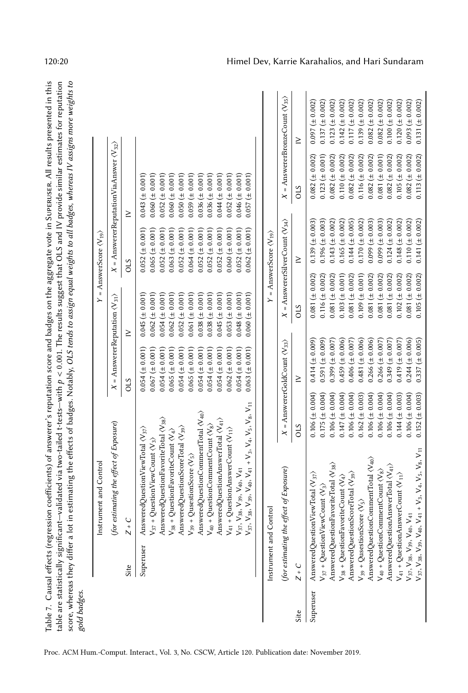<span id="page-19-0"></span>

| Table 7. Causal effects (regression<br>gold badges. |                                                                                                 |                                                                                        | score, whereas they differ a lot in estimating the effects of badges. Notably, OLS tends to assign equal weights to all badges, whereas IV assigns more weights to<br>coefficients) of answerer's reputation score and badges on the aggregate vote in SupERUSER. All results presented in this<br>table are statistically significant—validated via two-tailed t-tests—with $p < 0.001$ . The results suggest that OLS and IV provide similar estimates for reputation |
|-----------------------------------------------------|-------------------------------------------------------------------------------------------------|----------------------------------------------------------------------------------------|-------------------------------------------------------------------------------------------------------------------------------------------------------------------------------------------------------------------------------------------------------------------------------------------------------------------------------------------------------------------------------------------------------------------------------------------------------------------------|
|                                                     | nstrument and Control                                                                           |                                                                                        | $Y =$ AnswerScore $\langle V_{19} \rangle$                                                                                                                                                                                                                                                                                                                                                                                                                              |
|                                                     | (for estimating the effect of Exposure)                                                         | $X =$ Answerer<br>Reputation $\langle V_{31} \rangle$                                  | $X =$ AnswererReputationViaAnswer $\langle V_{32} \rangle$                                                                                                                                                                                                                                                                                                                                                                                                              |
| Site                                                | $Z + C$                                                                                         | 2TO                                                                                    | OLS                                                                                                                                                                                                                                                                                                                                                                                                                                                                     |
|                                                     | Superuser AnsweredQuestionViewTotal (V37)<br>$V_{37}$ + QuestionViewCount $\langle V_3 \rangle$ | $0.054 \ (\pm 0.001)$ $0.045 \ (\pm 0.001)$<br>$0.067 (\pm 0.001)$ $0.062 (\pm 0.001)$ | $0.052 \ (\pm 0.001)$ $0.043 \ (\pm 0.001)$<br>$(10000 \pm 0.0001)$ 0.060 ( $\pm$ 0.001)                                                                                                                                                                                                                                                                                                                                                                                |

|           | Site                                     |                                                                                                                                                                                                                                                                                                                                                                                                                                                                                                                                                                                                                                                                                                                                                                                                                                            |                                            | ŝ                                                                                                                                                                                                                                                                                | $\geq$                                                                                                                                                                                                                                                                               | ŝ                                                                                                                                                                                                                                                                                  | $\geq$                                                                                                                                                                                                                                                                               |                                                    |
|-----------|------------------------------------------|--------------------------------------------------------------------------------------------------------------------------------------------------------------------------------------------------------------------------------------------------------------------------------------------------------------------------------------------------------------------------------------------------------------------------------------------------------------------------------------------------------------------------------------------------------------------------------------------------------------------------------------------------------------------------------------------------------------------------------------------------------------------------------------------------------------------------------------------|--------------------------------------------|----------------------------------------------------------------------------------------------------------------------------------------------------------------------------------------------------------------------------------------------------------------------------------|--------------------------------------------------------------------------------------------------------------------------------------------------------------------------------------------------------------------------------------------------------------------------------------|------------------------------------------------------------------------------------------------------------------------------------------------------------------------------------------------------------------------------------------------------------------------------------|--------------------------------------------------------------------------------------------------------------------------------------------------------------------------------------------------------------------------------------------------------------------------------------|----------------------------------------------------|
|           | Superuser                                | $V_{38}, V_{39}, V_{40}, V_{41} + V_{3}, V_{4}, V_{5}, V_{8}, V_{11}$<br>AnsweredQuestionCommentTotal <v40><br/>AnsweredQuestionFavoriteTotal <v<sub>38&gt;<br/>AnsweredQuestionAnswerTotal <v<sub>41&gt;<br/><math>V_{40}</math> + QuestionCommentCount <math>\langle V_8 \rangle</math><br/>AnsweredQuestionScoreTotal (V<sub>39</sub>)<br/>AnsweredQuestionViewTotal <v37>&gt;&gt;<br/><math>V_{41}</math> + QuestionAnswerCount <math>\langle V_{11} \rangle</math><br/><math>V_{38} + QuestionFavoriteCount \langle V_4 \rangle</math><br/><math>V_{37}</math> + QuestionViewCount <math>\langle V_3 \rangle</math><br/><math>V_{39}</math> + QusestionScore <math>\langle V_5 \rangle</math><br/>V<sub>37</sub>, V<sub>38</sub>, V<sub>39</sub>, V<sub>40</sub>, V<sub>41</sub><br/><math>V_{37}</math>,</v37></v<sub></v<sub></v40> |                                            | $0.067 (\pm 0.001)$<br>$0.054 (\pm 0.001)$<br>$0.054 (\pm 0.001)$<br>$0.054 (\pm 0.001)$<br>$0.063 (\pm 0.001)$<br>$0.054 (\pm 0.001)$<br>$0.054 (\pm 0.001)$<br>$0.062 (\pm 0.001)$<br>$0.065 (\pm 0.001)$<br>$0.065 (\pm 0.001)$<br>$0.054 (\pm 0.001)$<br>$0.054 (\pm 0.001)$ | $0.054 (\pm 0.001)$<br>$0.053 (\pm 0.001)$<br>$0.062 (\pm 0.001)$<br>$0.052 (\pm 0.001)$<br>$0.038 \ (\pm 0.001)$<br>$0.038 \ (\pm 0.001)$<br>$0.060 (\pm 0.001)$<br>$0.045 (\pm 0.001)$<br>$0.062 (\pm 0.001)$<br>$0.061 (\pm 0.001)$<br>$0.045 (\pm 0.001)$<br>$0.048 (\pm 0.001)$ | $0.065 (\pm 0.001)$<br>$0.052 (\pm 0.001)$<br>$0.052 \ (\pm 0.001)$<br>$0.060 (\pm 0.001)$<br>$0.052 (\pm 0.001)$<br>$0.062 (\pm 0.001)$<br>$0.064 (\pm 0.001)$<br>$0.052 (\pm 0.001)$<br>$0.052 (\pm 0.001)$<br>$0.052 (\pm 0.001)$<br>$0.063 (\pm 0.001)$<br>$0.052 (\pm 0.001)$ | $0.060 (\pm 0.001)$<br>$0.052 (\pm 0.001)$<br>$0.059 \ (\pm 0.001)$<br>$0.050 (\pm 0.001)$<br>$0.036 (\pm 0.001)$<br>$0.036 (\pm 0.001)$<br>$0.052 (\pm 0.001)$<br>$0.043 (\pm 0.001)$<br>$0.060 \ (\pm 0.001)$<br>$0.044 (\pm 0.001)$<br>$0.046 (\pm 0.001)$<br>$0.057 (\pm 0.001)$ |                                                    |
|           | Instrument and Control                   |                                                                                                                                                                                                                                                                                                                                                                                                                                                                                                                                                                                                                                                                                                                                                                                                                                            |                                            |                                                                                                                                                                                                                                                                                  |                                                                                                                                                                                                                                                                                      | $Y =$ AnswerScore $\langle V_{19} \rangle$                                                                                                                                                                                                                                         |                                                                                                                                                                                                                                                                                      |                                                    |
|           |                                          | (for estimating the effect of Exposure)                                                                                                                                                                                                                                                                                                                                                                                                                                                                                                                                                                                                                                                                                                                                                                                                    |                                            | $X =$ AnswererGoldCount $\langle V_{33} \rangle$                                                                                                                                                                                                                                 |                                                                                                                                                                                                                                                                                      | $X =$ AnswererSilverCount $\langle V_{34} \rangle$                                                                                                                                                                                                                                 |                                                                                                                                                                                                                                                                                      | $X =$ AnswererBronzeCount $\langle V_{35} \rangle$ |
| Site      | $Z + C$                                  |                                                                                                                                                                                                                                                                                                                                                                                                                                                                                                                                                                                                                                                                                                                                                                                                                                            | STO                                        | $\geq$                                                                                                                                                                                                                                                                           | STO                                                                                                                                                                                                                                                                                  | $\geq$                                                                                                                                                                                                                                                                             | STO                                                                                                                                                                                                                                                                                  | ≥                                                  |
| Superuser |                                          | AnsweredQuestionViewTotal <v<sub>37&gt;&gt;<br/><math>V_{37}</math> + Question View Count <math>\langle V_3 \rangle</math></v<sub>                                                                                                                                                                                                                                                                                                                                                                                                                                                                                                                                                                                                                                                                                                         | $0.106 (\pm 0.004)$<br>$0.175 (\pm 0.004)$ | $0.414 (\pm 0.009)$<br>$0.591 (\pm 0.009)$                                                                                                                                                                                                                                       | $0.081 (\pm 0.002)$<br>$0.116 (\pm 0.002)$                                                                                                                                                                                                                                           | $0.139 \ (\pm 0.003)$<br>$0.196 (\pm 0.003)$                                                                                                                                                                                                                                       | $0.082 (\pm 0.002)$<br>$0.123 (\pm 0.001)$                                                                                                                                                                                                                                           | $0.097 (\pm 0.002)$<br>$0.137 (\pm 0.002)$         |
|           |                                          | Answered<br>QuestionFavoriteTotal $\langle V_{38} \rangle$                                                                                                                                                                                                                                                                                                                                                                                                                                                                                                                                                                                                                                                                                                                                                                                 | $0.106 (\pm 0.004)$                        | $0.399 \ (\pm 0.007)$                                                                                                                                                                                                                                                            | $0.081 (\pm 0.002)$                                                                                                                                                                                                                                                                  | $0.143 (\pm 0.002)$                                                                                                                                                                                                                                                                | $0.082 (\pm 0.002)$                                                                                                                                                                                                                                                                  | $0.123 (\pm 0.002)$                                |
|           |                                          | $V_{38}$ + QuestionFavoriteCount $\langle V_4 \rangle$                                                                                                                                                                                                                                                                                                                                                                                                                                                                                                                                                                                                                                                                                                                                                                                     | $0.147 (\pm 0.004)$                        | $0.459 \ (\pm 0.006)$                                                                                                                                                                                                                                                            | $0.103 (\pm 0.001)$                                                                                                                                                                                                                                                                  | $0.165 (\pm 0.002)$                                                                                                                                                                                                                                                                | $0.110 \ (\pm 0.002)$                                                                                                                                                                                                                                                                | $0.142 \ (\pm 0.002)$                              |
|           |                                          | AnsweredQuestionScoreTotal <v39>&gt;</v39>                                                                                                                                                                                                                                                                                                                                                                                                                                                                                                                                                                                                                                                                                                                                                                                                 | $0.106 (\pm 0.004)$                        | $0.481 (\pm 0.006)$<br>$0.406 (\pm 0.007)$                                                                                                                                                                                                                                       | $0.081 (\pm 0.002)$<br>$0.109 \ (\pm 0.001)$                                                                                                                                                                                                                                         | $0.144 (\pm 0.005)$                                                                                                                                                                                                                                                                | $0.082 (\pm 0.002)$                                                                                                                                                                                                                                                                  | $0.117 (\pm 0.002)$                                |
|           |                                          | AnsweredQuestionCommentTotal <v40><br/><math>V_{39}</math> + QusestionScore <math>\langle V_5 \rangle</math></v40>                                                                                                                                                                                                                                                                                                                                                                                                                                                                                                                                                                                                                                                                                                                         | $0.162 (\pm 0.003)$<br>$0.106 (\pm 0.004)$ | $0.266 (\pm 0.006)$                                                                                                                                                                                                                                                              | $0.081 (\pm 0.002)$                                                                                                                                                                                                                                                                  | $0.170 \ (\pm 0.002)$<br>$(500.099)(\pm 0.003)$                                                                                                                                                                                                                                    | $0.116 (\pm 0.002)$<br>$0.082 (\pm 0.002)$                                                                                                                                                                                                                                           | $0.139 \ (\pm 0.002)$<br>$0.082 (\pm 0.002)$       |
|           |                                          | $V_{40}$ + Question Comment Count $\langle V_8 \rangle$                                                                                                                                                                                                                                                                                                                                                                                                                                                                                                                                                                                                                                                                                                                                                                                    | $0.106 (\pm 0.004)$                        | $0.266 (\pm 0.007)$                                                                                                                                                                                                                                                              | $0.081 (\pm 0.002)$                                                                                                                                                                                                                                                                  | $0.099 \ (\pm 0.003)$                                                                                                                                                                                                                                                              | $0.081 (\pm 0.001)$                                                                                                                                                                                                                                                                  | $0.082 (\pm 0.002)$                                |
|           |                                          | AnsweredQuestionAnswerTotal <v41></v41>                                                                                                                                                                                                                                                                                                                                                                                                                                                                                                                                                                                                                                                                                                                                                                                                    | $0.106 (\pm 0.004)$                        | $0.349 (\pm 0.007)$                                                                                                                                                                                                                                                              | $0.081 (\pm 0.002)$                                                                                                                                                                                                                                                                  | $0.124 (\pm 0.002)$                                                                                                                                                                                                                                                                | $0.082 (\pm 0.002)$                                                                                                                                                                                                                                                                  | $0.100 \ (\pm 0.002)$                              |
|           |                                          | $V_{41}$ + Question Answer Count $\langle V_{11} \rangle$                                                                                                                                                                                                                                                                                                                                                                                                                                                                                                                                                                                                                                                                                                                                                                                  | $0.144 (\pm 0.003)$                        | $0.419 \ (\pm 0.007)$                                                                                                                                                                                                                                                            | $0.102 \ (\pm 0.002)$                                                                                                                                                                                                                                                                | $0.148 \ (\pm 0.002)$                                                                                                                                                                                                                                                              | $0.105 (\pm 0.002)$                                                                                                                                                                                                                                                                  | $0.120 \ (\pm 0.002)$                              |
|           | $V_{37}, V_{38}, V_{39}, V_{40}, V_{41}$ |                                                                                                                                                                                                                                                                                                                                                                                                                                                                                                                                                                                                                                                                                                                                                                                                                                            | $0.106 (\pm 0.004)$                        | $0.244 (\pm 0.006)$                                                                                                                                                                                                                                                              | $0.081 (\pm 0.002)$                                                                                                                                                                                                                                                                  | $0.110 \ (\pm 0.002)$                                                                                                                                                                                                                                                              | $0.082 (\pm 0.002)$                                                                                                                                                                                                                                                                  | $0.093 \ (\pm 0.002)$                              |
|           | $V_{37}, V_{38}, V_{39}, V_{40},$        | $V_{41} + V_{3}$ , $V_{4}$ , $V_{5}$ , $V_{8}$ , $V_{11}$                                                                                                                                                                                                                                                                                                                                                                                                                                                                                                                                                                                                                                                                                                                                                                                  | $0.152 (\pm 0.003)$                        | $0.337 (\pm 0.005)$                                                                                                                                                                                                                                                              | $0.105 (\pm 0.002)$                                                                                                                                                                                                                                                                  | $0.141 (\pm 0.002)$                                                                                                                                                                                                                                                                | $0.113 (\pm 0.002)$                                                                                                                                                                                                                                                                  | $0.131 (\pm 0.002)$                                |

120:20 Himel Dev, Karrie Karahalios, and Hari Sundaram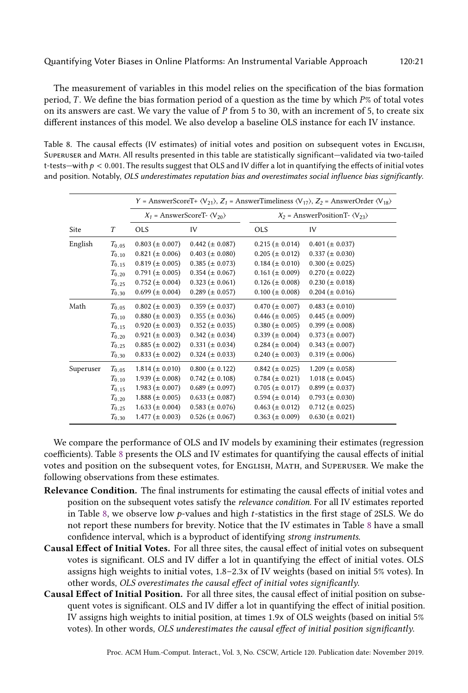The measurement of variables in this model relies on the specification of the bias formation period, T. We define the bias formation period of a question as the time by which  $P\%$  of total votes on its answers are cast. We vary the value of  $P$  from 5 to 30, with an increment of 5, to create six different instances of this model. We also develop a baseline OLS instance for each IV instance.

<span id="page-20-0"></span>Table 8. The causal effects (IV estimates) of initial votes and position on subsequent votes in English, Superuser and Math. All results presented in this table are statistically significant—validated via two-tailed t-tests—with  $p < 0.001$ . The results suggest that OLS and IV differ a lot in quantifying the effects of initial votes and position. Notably, OLS underestimates reputation bias and overestimates social influence bias significantly.

|           |                  |                       |                                                |                       | Y = AnswerScoreT+ $\langle V_{21} \rangle$ , $Z_1$ = AnswerTimeliness $\langle V_{17} \rangle$ , $Z_2$ = AnswerOrder $\langle V_{18} \rangle$ |
|-----------|------------------|-----------------------|------------------------------------------------|-----------------------|-----------------------------------------------------------------------------------------------------------------------------------------------|
|           |                  |                       | $X_1$ = AnswerScoreT- $\langle V_{20} \rangle$ |                       | $X_2$ = AnswerPositionT- $\langle V_{23} \rangle$                                                                                             |
| Site      | $\boldsymbol{T}$ | <b>OLS</b>            | IV                                             | <b>OLS</b>            | IV                                                                                                                                            |
| English   | $T_{0.05}$       | $0.803 (\pm 0.007)$   | $0.442 \ (\pm 0.087)$                          | $0.215 (\pm 0.014)$   | $0.401 (\pm 0.037)$                                                                                                                           |
|           | $T_{0.10}$       | $0.821 (\pm 0.006)$   | $0.403 \ (\pm 0.080)$                          | $0.205 (\pm 0.012)$   | $0.337 \ (\pm 0.030)$                                                                                                                         |
|           | $T_{0.15}$       | $0.819 \ (\pm 0.005)$ | $0.385 \ (\pm 0.073)$                          | $0.184 \ (\pm 0.010)$ | $0.300 \ (\pm 0.025)$                                                                                                                         |
|           | $T_{0.20}$       | $0.791 (\pm 0.005)$   | $0.354 \ (\pm 0.067)$                          | $0.161 (\pm 0.009)$   | $0.270 \ (\pm 0.022)$                                                                                                                         |
|           | $T_{0.25}$       | $0.752 \ (\pm 0.004)$ | $0.323 \ (\pm 0.061)$                          | $0.126 \ (\pm 0.008)$ | $0.230 \ (\pm 0.018)$                                                                                                                         |
|           | $T_{0.30}$       | $0.699 \ (\pm 0.004)$ | $0.289 \ (\pm 0.057)$                          | $0.100 \ (\pm 0.008)$ | $0.204 \ (\pm 0.016)$                                                                                                                         |
| Math      | $T_{0.05}$       | $0.802 \ (\pm 0.003)$ | $0.359 \ (\pm 0.037)$                          | $0.470 \ (\pm 0.007)$ | $0.483 \ (\pm 0.010)$                                                                                                                         |
|           | $T_{0.10}$       | $0.880 (\pm 0.003)$   | $0.355 \ (\pm 0.036)$                          | $0.446 \ (\pm 0.005)$ | $0.445 \ (\pm 0.009)$                                                                                                                         |
|           | $T_{0.15}$       | $0.920 \ (\pm 0.003)$ | $0.352 \ (\pm 0.035)$                          | $0.380 \ (\pm 0.005)$ | $0.399 \ (\pm 0.008)$                                                                                                                         |
|           | $T_{0.20}$       | $0.921 (\pm 0.003)$   | $0.342 \ (\pm 0.034)$                          | $0.339 \ (\pm 0.004)$ | $0.373 \ (\pm 0.007)$                                                                                                                         |
|           | $T_{0.25}$       | $0.885 (\pm 0.002)$   | $0.331 (\pm 0.034)$                            | $0.284 \ (\pm 0.004)$ | $0.343 \ (\pm 0.007)$                                                                                                                         |
|           | $T_{0.30}$       | $0.833 \ (\pm 0.002)$ | $0.324 \ (\pm 0.033)$                          | $0.240 \ (\pm 0.003)$ | $0.319 \ (\pm 0.006)$                                                                                                                         |
| Superuser | $T_{0.05}$       | $1.814 \ (\pm 0.010)$ | $0.800 (\pm 0.122)$                            | $0.842 \ (\pm 0.025)$ | $1.209 \ (\pm 0.058)$                                                                                                                         |
|           | $T_{0.10}$       | $1.939 \ (\pm 0.008)$ | $0.742 \ (\pm 0.108)$                          | $0.784 \ (\pm 0.021)$ | $1.018 (\pm 0.045)$                                                                                                                           |
|           | $T_{0.15}$       | $1.983 \ (\pm 0.007)$ | $0.689 \ (\pm 0.097)$                          | $0.705 (\pm 0.017)$   | $0.899 \ (\pm 0.037)$                                                                                                                         |
|           | $T_{0.20}$       | $1.888 \ (\pm 0.005)$ | $0.633 \ (\pm 0.087)$                          | $0.594 \ (\pm 0.014)$ | $0.793 \ (\pm 0.030)$                                                                                                                         |
|           | $T_{0.25}$       | $1.633 \ (\pm 0.004)$ | $0.583 \ (\pm 0.076)$                          | $0.463 (\pm 0.012)$   | $0.712 \ (\pm 0.025)$                                                                                                                         |
|           | $T_{0.30}$       | $1.477 \ (\pm 0.003)$ | $0.526 \ (\pm 0.067)$                          | $0.363 \ (\pm 0.009)$ | $0.630 \ (\pm 0.021)$                                                                                                                         |

We compare the performance of OLS and IV models by examining their estimates (regression coefficients). Table [8](#page-20-0) presents the OLS and IV estimates for quantifying the causal effects of initial votes and position on the subsequent votes, for English, Math, and Superuser. We make the following observations from these estimates.

- Relevance Condition. The final instruments for estimating the causal effects of initial votes and position on the subsequent votes satisfy the relevance condition. For all IV estimates reported in Table [8,](#page-20-0) we observe low  $p$ -values and high  $t$ -statistics in the first stage of 2SLS. We do not report these numbers for brevity. Notice that the IV estimates in Table [8](#page-20-0) have a small confidence interval, which is a byproduct of identifying strong instruments.
- Causal Effect of Initial Votes. For all three sites, the causal effect of initial votes on subsequent votes is significant. OLS and IV differ a lot in quantifying the effect of initial votes. OLS assigns high weights to initial votes, 1.8–2.3x of IV weights (based on initial 5% votes). In other words, OLS overestimates the causal effect of initial votes significantly.
- Causal Effect of Initial Position. For all three sites, the causal effect of initial position on subsequent votes is significant. OLS and IV differ a lot in quantifying the effect of initial position. IV assigns high weights to initial position, at times 1.9x of OLS weights (based on initial 5% votes). In other words, OLS underestimates the causal effect of initial position significantly.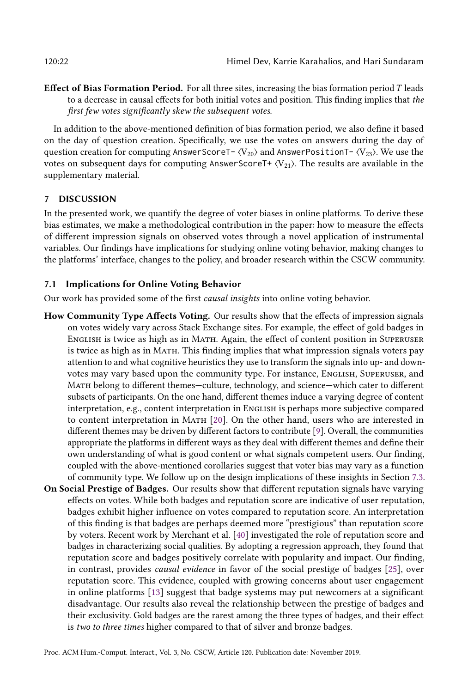**Effect of Bias Formation Period.** For all three sites, increasing the bias formation period  $T$  leads to a decrease in causal effects for both initial votes and position. This finding implies that the first few votes significantly skew the subsequent votes.

In addition to the above-mentioned definition of bias formation period, we also define it based on the day of question creation. Specifically, we use the votes on answers during the day of question creation for computing AnswerScoreT-  $\langle V_{20} \rangle$  and AnswerPositionT-  $\langle V_{23} \rangle$ . We use the votes on subsequent days for computing AnswerScoreT+  $\langle V_{21} \rangle$ . The results are available in the supplementary material.

### <span id="page-21-0"></span>7 DISCUSSION

In the presented work, we quantify the degree of voter biases in online platforms. To derive these bias estimates, we make a methodological contribution in the paper: how to measure the effects of different impression signals on observed votes through a novel application of instrumental variables. Our findings have implications for studying online voting behavior, making changes to the platforms' interface, changes to the policy, and broader research within the CSCW community.

### 7.1 Implications for Online Voting Behavior

Our work has provided some of the first causal insights into online voting behavior.

- How Community Type Affects Voting. Our results show that the effects of impression signals on votes widely vary across Stack Exchange sites. For example, the effect of gold badges in English is twice as high as in Math. Again, the effect of content position in Superuser is twice as high as in Math. This finding implies that what impression signals voters pay attention to and what cognitive heuristics they use to transform the signals into up- and downvotes may vary based upon the community type. For instance, ENGLISH, SUPERUSER, and Math belong to different themes—culture, technology, and science—which cater to different subsets of participants. On the one hand, different themes induce a varying degree of content interpretation, e.g., content interpretation in ENGLISH is perhaps more subjective compared to content interpretation in Math [\[20\]](#page-25-0). On the other hand, users who are interested in different themes may be driven by different factors to contribute [\[9\]](#page-24-1). Overall, the communities appropriate the platforms in different ways as they deal with different themes and define their own understanding of what is good content or what signals competent users. Our finding, coupled with the above-mentioned corollaries suggest that voter bias may vary as a function of community type. We follow up on the design implications of these insights in Section [7.3.](#page-22-0)
- On Social Prestige of Badges. Our results show that different reputation signals have varying effects on votes. While both badges and reputation score are indicative of user reputation, badges exhibit higher influence on votes compared to reputation score. An interpretation of this finding is that badges are perhaps deemed more "prestigious" than reputation score by voters. Recent work by Merchant et al. [\[40\]](#page-25-20) investigated the role of reputation score and badges in characterizing social qualities. By adopting a regression approach, they found that reputation score and badges positively correlate with popularity and impact. Our finding, in contrast, provides causal evidence in favor of the social prestige of badges [\[25\]](#page-25-21), over reputation score. This evidence, coupled with growing concerns about user engagement in online platforms [\[13\]](#page-24-14) suggest that badge systems may put newcomers at a significant disadvantage. Our results also reveal the relationship between the prestige of badges and their exclusivity. Gold badges are the rarest among the three types of badges, and their effect is two to three times higher compared to that of silver and bronze badges.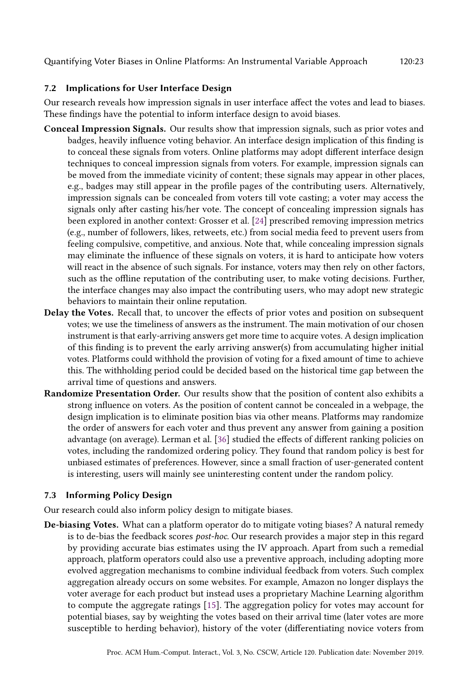# 7.2 Implications for User Interface Design

Our research reveals how impression signals in user interface affect the votes and lead to biases. These findings have the potential to inform interface design to avoid biases.

- Conceal Impression Signals. Our results show that impression signals, such as prior votes and badges, heavily influence voting behavior. An interface design implication of this finding is to conceal these signals from voters. Online platforms may adopt different interface design techniques to conceal impression signals from voters. For example, impression signals can be moved from the immediate vicinity of content; these signals may appear in other places, e.g., badges may still appear in the profile pages of the contributing users. Alternatively, impression signals can be concealed from voters till vote casting; a voter may access the signals only after casting his/her vote. The concept of concealing impression signals has been explored in another context: Grosser et al. [\[24\]](#page-25-22) prescribed removing impression metrics (e.g., number of followers, likes, retweets, etc.) from social media feed to prevent users from feeling compulsive, competitive, and anxious. Note that, while concealing impression signals may eliminate the influence of these signals on voters, it is hard to anticipate how voters will react in the absence of such signals. For instance, voters may then rely on other factors, such as the offline reputation of the contributing user, to make voting decisions. Further, the interface changes may also impact the contributing users, who may adopt new strategic behaviors to maintain their online reputation.
- Delay the Votes. Recall that, to uncover the effects of prior votes and position on subsequent votes; we use the timeliness of answers as the instrument. The main motivation of our chosen instrument is that early-arriving answers get more time to acquire votes. A design implication of this finding is to prevent the early arriving answer(s) from accumulating higher initial votes. Platforms could withhold the provision of voting for a fixed amount of time to achieve this. The withholding period could be decided based on the historical time gap between the arrival time of questions and answers.
- Randomize Presentation Order. Our results show that the position of content also exhibits a strong influence on voters. As the position of content cannot be concealed in a webpage, the design implication is to eliminate position bias via other means. Platforms may randomize the order of answers for each voter and thus prevent any answer from gaining a position advantage (on average). Lerman et al. [\[36\]](#page-25-4) studied the effects of different ranking policies on votes, including the randomized ordering policy. They found that random policy is best for unbiased estimates of preferences. However, since a small fraction of user-generated content is interesting, users will mainly see uninteresting content under the random policy.

# <span id="page-22-0"></span>7.3 Informing Policy Design

Our research could also inform policy design to mitigate biases.

De-biasing Votes. What can a platform operator do to mitigate voting biases? A natural remedy is to de-bias the feedback scores *post-hoc*. Our research provides a major step in this regard by providing accurate bias estimates using the IV approach. Apart from such a remedial approach, platform operators could also use a preventive approach, including adopting more evolved aggregation mechanisms to combine individual feedback from voters. Such complex aggregation already occurs on some websites. For example, Amazon no longer displays the voter average for each product but instead uses a proprietary Machine Learning algorithm to compute the aggregate ratings [\[15\]](#page-25-23). The aggregation policy for votes may account for potential biases, say by weighting the votes based on their arrival time (later votes are more susceptible to herding behavior), history of the voter (differentiating novice voters from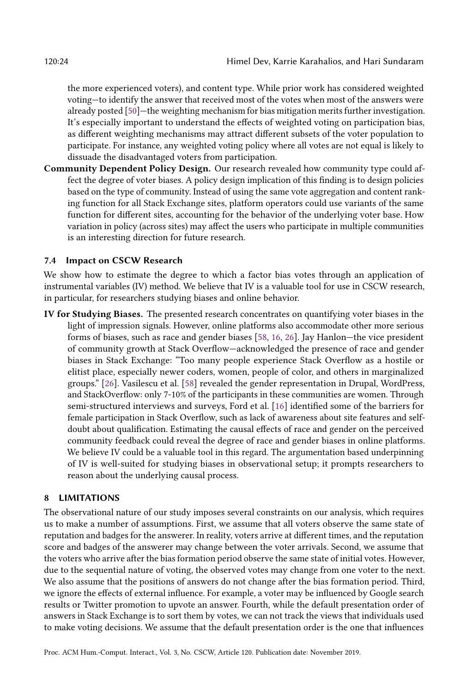the more experienced voters), and content type. While prior work has considered weighted voting—to identify the answer that received most of the votes when most of the answers were already posted [\[50\]](#page-26-22)—the weighting mechanism for bias mitigation merits further investigation. It's especially important to understand the effects of weighted voting on participation bias, as different weighting mechanisms may attract different subsets of the voter population to participate. For instance, any weighted voting policy where all votes are not equal is likely to dissuade the disadvantaged voters from participation.

Community Dependent Policy Design. Our research revealed how community type could affect the degree of voter biases. A policy design implication of this finding is to design policies based on the type of community. Instead of using the same vote aggregation and content ranking function for all Stack Exchange sites, platform operators could use variants of the same function for different sites, accounting for the behavior of the underlying voter base. How variation in policy (across sites) may affect the users who participate in multiple communities is an interesting direction for future research.

#### 7.4 Impact on CSCW Research

We show how to estimate the degree to which a factor bias votes through an application of instrumental variables (IV) method. We believe that IV is a valuable tool for use in CSCW research, in particular, for researchers studying biases and online behavior.

IV for Studying Biases. The presented research concentrates on quantifying voter biases in the light of impression signals. However, online platforms also accommodate other more serious forms of biases, such as race and gender biases [\[58,](#page-26-23) [16,](#page-25-24) [26\]](#page-25-25). Jay Hanlon—the vice president of community growth at Stack Overflow—acknowledged the presence of race and gender biases in Stack Exchange: "Too many people experience Stack Overflow as a hostile or elitist place, especially newer coders, women, people of color, and others in marginalized groups." [\[26\]](#page-25-25). Vasilescu et al. [\[58\]](#page-26-23) revealed the gender representation in Drupal, WordPress, and StackOverflow: only 7-10% of the participants in these communities are women. Through semi-structured interviews and surveys, Ford et al. [\[16\]](#page-25-24) identified some of the barriers for female participation in Stack Overflow, such as lack of awareness about site features and selfdoubt about qualification. Estimating the causal effects of race and gender on the perceived community feedback could reveal the degree of race and gender biases in online platforms. We believe IV could be a valuable tool in this regard. The argumentation based underpinning of IV is well-suited for studying biases in observational setup; it prompts researchers to reason about the underlying causal process.

### <span id="page-23-0"></span>8 LIMITATIONS

The observational nature of our study imposes several constraints on our analysis, which requires us to make a number of assumptions. First, we assume that all voters observe the same state of reputation and badges for the answerer. In reality, voters arrive at different times, and the reputation score and badges of the answerer may change between the voter arrivals. Second, we assume that the voters who arrive after the bias formation period observe the same state of initial votes. However, due to the sequential nature of voting, the observed votes may change from one voter to the next. We also assume that the positions of answers do not change after the bias formation period. Third, we ignore the effects of external influence. For example, a voter may be influenced by Google search results or Twitter promotion to upvote an answer. Fourth, while the default presentation order of answers in Stack Exchange is to sort them by votes, we can not track the views that individuals used to make voting decisions. We assume that the default presentation order is the one that influences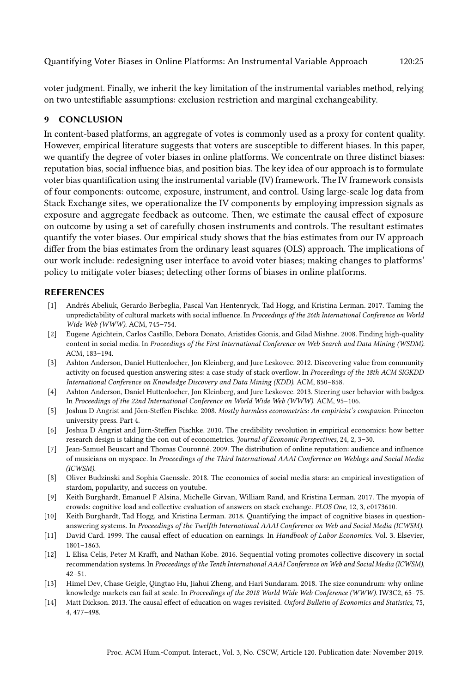voter judgment. Finally, we inherit the key limitation of the instrumental variables method, relying on two untestifiable assumptions: exclusion restriction and marginal exchangeability.

# <span id="page-24-7"></span>9 CONCLUSION

In content-based platforms, an aggregate of votes is commonly used as a proxy for content quality. However, empirical literature suggests that voters are susceptible to different biases. In this paper, we quantify the degree of voter biases in online platforms. We concentrate on three distinct biases: reputation bias, social influence bias, and position bias. The key idea of our approach is to formulate voter bias quantification using the instrumental variable (IV) framework. The IV framework consists of four components: outcome, exposure, instrument, and control. Using large-scale log data from Stack Exchange sites, we operationalize the IV components by employing impression signals as exposure and aggregate feedback as outcome. Then, we estimate the causal effect of exposure on outcome by using a set of carefully chosen instruments and controls. The resultant estimates quantify the voter biases. Our empirical study shows that the bias estimates from our IV approach differ from the bias estimates from the ordinary least squares (OLS) approach. The implications of our work include: redesigning user interface to avoid voter biases; making changes to platforms' policy to mitigate voter biases; detecting other forms of biases in online platforms.

# REFERENCES

- <span id="page-24-4"></span>[1] Andrés Abeliuk, Gerardo Berbeglia, Pascal Van Hentenryck, Tad Hogg, and Kristina Lerman. 2017. Taming the unpredictability of cultural markets with social influence. In Proceedings of the 26th International Conference on World Wide Web (WWW). ACM, 745–754.
- <span id="page-24-0"></span>[2] Eugene Agichtein, Carlos Castillo, Debora Donato, Aristides Gionis, and Gilad Mishne. 2008. Finding high-quality content in social media. In Proceedings of the First International Conference on Web Search and Data Mining (WSDM). ACM, 183–194.
- <span id="page-24-12"></span>[3] Ashton Anderson, Daniel Huttenlocher, Jon Kleinberg, and Jure Leskovec. 2012. Discovering value from community activity on focused question answering sites: a case study of stack overflow. In Proceedings of the 18th ACM SIGKDD International Conference on Knowledge Discovery and Data Mining (KDD). ACM, 850–858.
- <span id="page-24-8"></span>[4] Ashton Anderson, Daniel Huttenlocher, Jon Kleinberg, and Jure Leskovec. 2013. Steering user behavior with badges. In Proceedings of the 22nd International Conference on World Wide Web (WWW). ACM, 95–106.
- <span id="page-24-6"></span>[5] Joshua D Angrist and Jörn-Steffen Pischke. 2008. Mostly harmless econometrics: An empiricist's companion. Princeton university press. Part 4.
- <span id="page-24-13"></span>[6] Joshua D Angrist and Jörn-Steffen Pischke. 2010. The credibility revolution in empirical economics: how better research design is taking the con out of econometrics. Journal of Economic Perspectives, 24, 2, 3–30.
- <span id="page-24-3"></span>[7] Jean-Samuel Beuscart and Thomas Couronné. 2009. The distribution of online reputation: audience and influence of musicians on myspace. In Proceedings of the Third International AAAI Conference on Weblogs and Social Media (ICWSM).
- <span id="page-24-9"></span>[8] Oliver Budzinski and Sophia Gaenssle. 2018. The economics of social media stars: an empirical investigation of stardom, popularity, and success on youtube.
- <span id="page-24-1"></span>[9] Keith Burghardt, Emanuel F Alsina, Michelle Girvan, William Rand, and Kristina Lerman. 2017. The myopia of crowds: cognitive load and collective evaluation of answers on stack exchange. PLOS One, 12, 3, e0173610.
- <span id="page-24-2"></span>[10] Keith Burghardt, Tad Hogg, and Kristina Lerman. 2018. Quantifying the impact of cognitive biases in questionanswering systems. In Proceedings of the Twelfth International AAAI Conference on Web and Social Media (ICWSM).
- <span id="page-24-5"></span>[11] David Card. 1999. The causal effect of education on earnings. In Handbook of Labor Economics. Vol. 3. Elsevier, 1801–1863.
- <span id="page-24-10"></span>[12] L Elisa Celis, Peter M Krafft, and Nathan Kobe. 2016. Sequential voting promotes collective discovery in social recommendation systems. In Proceedings of the Tenth International AAAI Conference on Web and Social Media (ICWSM), 42–51.
- <span id="page-24-14"></span>[13] Himel Dev, Chase Geigle, Qingtao Hu, Jiahui Zheng, and Hari Sundaram. 2018. The size conundrum: why online knowledge markets can fail at scale. In Proceedings of the 2018 World Wide Web Conference (WWW). IW3C2, 65–75.
- <span id="page-24-11"></span>[14] Matt Dickson. 2013. The causal effect of education on wages revisited. Oxford Bulletin of Economics and Statistics, 75, 4, 477–498.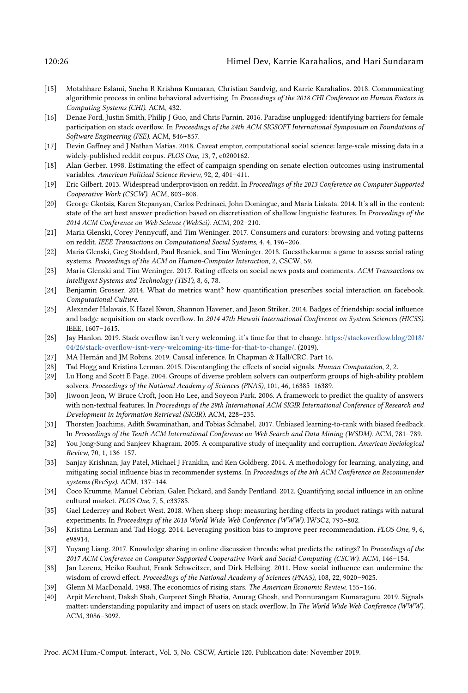#### 120:26 Himel Dev, Karrie Karahalios, and Hari Sundaram

- <span id="page-25-23"></span>[15] Motahhare Eslami, Sneha R Krishna Kumaran, Christian Sandvig, and Karrie Karahalios. 2018. Communicating algorithmic process in online behavioral advertising. In Proceedings of the 2018 CHI Conference on Human Factors in Computing Systems (CHI). ACM, 432.
- <span id="page-25-24"></span>[16] Denae Ford, Justin Smith, Philip J Guo, and Chris Parnin. 2016. Paradise unplugged: identifying barriers for female participation on stack overflow. In Proceedings of the 24th ACM SIGSOFT International Symposium on Foundations of Software Engineering (FSE). ACM, 846–857.
- <span id="page-25-19"></span>[17] Devin Gaffney and J Nathan Matias. 2018. Caveat emptor, computational social science: large-scale missing data in a widely-published reddit corpus. PLOS One, 13, 7, e0200162.
- <span id="page-25-9"></span>[18] Alan Gerber. 1998. Estimating the effect of campaign spending on senate election outcomes using instrumental variables. American Political Science Review, 92, 2, 401–411.
- <span id="page-25-15"></span>[19] Eric Gilbert. 2013. Widespread underprovision on reddit. In Proceedings of the 2013 Conference on Computer Supported Cooperative Work (CSCW). ACM, 803–808.
- <span id="page-25-0"></span>[20] George Gkotsis, Karen Stepanyan, Carlos Pedrinaci, John Domingue, and Maria Liakata. 2014. It's all in the content: state of the art best answer prediction based on discretisation of shallow linguistic features. In Proceedings of the 2014 ACM Conference on Web Science (WebSci). ACM, 202–210.
- <span id="page-25-16"></span>[21] Maria Glenski, Corey Pennycuff, and Tim Weninger. 2017. Consumers and curators: browsing and voting patterns on reddit. IEEE Transactions on Computational Social Systems, 4, 4, 196–206.
- <span id="page-25-17"></span>[22] Maria Glenski, Greg Stoddard, Paul Resnick, and Tim Weninger. 2018. Guessthekarma: a game to assess social rating systems. Proceedings of the ACM on Human-Computer Interaction, 2, CSCW, 59.
- <span id="page-25-8"></span>[23] Maria Glenski and Tim Weninger. 2017. Rating effects on social news posts and comments. ACM Transactions on Intelligent Systems and Technology (TIST), 8, 6, 78.
- <span id="page-25-22"></span>[24] Benjamin Grosser. 2014. What do metrics want? how quantification prescribes social interaction on facebook. Computational Culture.
- <span id="page-25-21"></span>[25] Alexander Halavais, K Hazel Kwon, Shannon Havener, and Jason Striker. 2014. Badges of friendship: social influence and badge acquisition on stack overflow. In 2014 47th Hawaii International Conference on System Sciences (HICSS). IEEE, 1607–1615.
- <span id="page-25-25"></span>[26] Jay Hanlon. 2019. Stack overflow isn't very welcoming. it's time for that to change. [https://stackoverflow.blog/2018/](https://stackoverflow.blog/2018/04/26/stack-overflow-isnt-very-welcoming-its-time-for-that-to-change/) [04/26/stack-overflow-isnt-very-welcoming-its-time-for-that-to-change/.](https://stackoverflow.blog/2018/04/26/stack-overflow-isnt-very-welcoming-its-time-for-that-to-change/) (2019).
- <span id="page-25-11"></span>[27] MA Hernán and JM Robins. 2019. Causal inference. In Chapman & Hall/CRC. Part 16.
- <span id="page-25-3"></span>[28] Tad Hogg and Kristina Lerman. 2015. Disentangling the effects of social signals. Human Computation, 2, 2.
- <span id="page-25-2"></span>[29] Lu Hong and Scott E Page. 2004. Groups of diverse problem solvers can outperform groups of high-ability problem solvers. Proceedings of the National Academy of Sciences (PNAS), 101, 46, 16385–16389.
- <span id="page-25-1"></span>[30] Jiwoon Jeon, W Bruce Croft, Joon Ho Lee, and Soyeon Park. 2006. A framework to predict the quality of answers with non-textual features. In Proceedings of the 29th International ACM SIGIR International Conference of Research and Development in Information Retrieval (SIGIR). ACM, 228–235.
- <span id="page-25-14"></span>[31] Thorsten Joachims, Adith Swaminathan, and Tobias Schnabel. 2017. Unbiased learning-to-rank with biased feedback. In Proceedings of the Tenth ACM International Conference on Web Search and Data Mining (WSDM). ACM, 781–789.
- <span id="page-25-10"></span>[32] You Jong-Sung and Sanjeev Khagram. 2005. A comparative study of inequality and corruption. American Sociological Review, 70, 1, 136–157.
- <span id="page-25-7"></span>[33] Sanjay Krishnan, Jay Patel, Michael J Franklin, and Ken Goldberg. 2014. A methodology for learning, analyzing, and mitigating social influence bias in recommender systems. In Proceedings of the 8th ACM Conference on Recommender systems (RecSys). ACM, 137–144.
- <span id="page-25-6"></span>[34] Coco Krumme, Manuel Cebrian, Galen Pickard, and Sandy Pentland. 2012. Quantifying social influence in an online cultural market. PLOS One, 7, 5, e33785.
- <span id="page-25-13"></span>[35] Gael Lederrey and Robert West. 2018. When sheep shop: measuring herding effects in product ratings with natural experiments. In Proceedings of the 2018 World Wide Web Conference (WWW). IW3C2, 793–802.
- <span id="page-25-4"></span>[36] Kristina Lerman and Tad Hogg. 2014. Leveraging position bias to improve peer recommendation. PLOS One, 9, 6, e98914.
- <span id="page-25-12"></span>[37] Yuyang Liang. 2017. Knowledge sharing in online discussion threads: what predicts the ratings? In Proceedings of the 2017 ACM Conference on Computer Supported Cooperative Work and Social Computing (CSCW). ACM, 146–154.
- <span id="page-25-5"></span>[38] Jan Lorenz, Heiko Rauhut, Frank Schweitzer, and Dirk Helbing. 2011. How social influence can undermine the wisdom of crowd effect. Proceedings of the National Academy of Sciences (PNAS), 108, 22, 9020–9025.
- <span id="page-25-18"></span>[39] Glenn M MacDonald. 1988. The economics of rising stars. The American Economic Review, 155–166.
- <span id="page-25-20"></span>[40] Arpit Merchant, Daksh Shah, Gurpreet Singh Bhatia, Anurag Ghosh, and Ponnurangam Kumaraguru. 2019. Signals matter: understanding popularity and impact of users on stack overflow. In The World Wide Web Conference (WWW). ACM, 3086–3092.